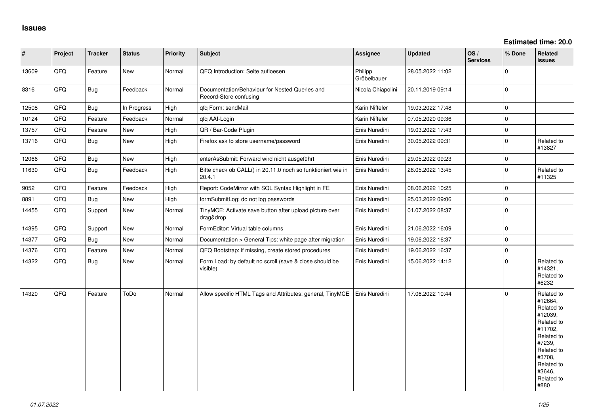| $\sharp$ | Project | <b>Tracker</b> | <b>Status</b> | <b>Priority</b> | <b>Subject</b>                                                           | Assignee               | <b>Updated</b>   | OS/<br><b>Services</b> | % Done      | Related<br><b>issues</b>                                                                                                                                              |
|----------|---------|----------------|---------------|-----------------|--------------------------------------------------------------------------|------------------------|------------------|------------------------|-------------|-----------------------------------------------------------------------------------------------------------------------------------------------------------------------|
| 13609    | QFQ     | Feature        | <b>New</b>    | Normal          | QFQ Introduction: Seite aufloesen                                        | Philipp<br>Gröbelbauer | 28.05.2022 11:02 |                        | $\mathbf 0$ |                                                                                                                                                                       |
| 8316     | QFQ     | <b>Bug</b>     | Feedback      | Normal          | Documentation/Behaviour for Nested Queries and<br>Record-Store confusing | Nicola Chiapolini      | 20.11.2019 09:14 |                        | $\mathbf 0$ |                                                                                                                                                                       |
| 12508    | QFQ     | Bug            | In Progress   | High            | gfg Form: sendMail                                                       | Karin Niffeler         | 19.03.2022 17:48 |                        | $\mathbf 0$ |                                                                                                                                                                       |
| 10124    | QFQ     | Feature        | Feedback      | Normal          | qfq AAI-Login                                                            | Karin Niffeler         | 07.05.2020 09:36 |                        | $\mathbf 0$ |                                                                                                                                                                       |
| 13757    | QFQ     | Feature        | New           | High            | QR / Bar-Code Plugin                                                     | Enis Nuredini          | 19.03.2022 17:43 |                        | $\mathbf 0$ |                                                                                                                                                                       |
| 13716    | QFQ     | <b>Bug</b>     | <b>New</b>    | High            | Firefox ask to store username/password                                   | Enis Nuredini          | 30.05.2022 09:31 |                        | $\Omega$    | Related to<br>#13827                                                                                                                                                  |
| 12066    | QFQ     | <b>Bug</b>     | <b>New</b>    | High            | enterAsSubmit: Forward wird nicht ausgeführt                             | Enis Nuredini          | 29.05.2022 09:23 |                        | $\mathbf 0$ |                                                                                                                                                                       |
| 11630    | QFQ     | <b>Bug</b>     | Feedback      | High            | Bitte check ob CALL() in 20.11.0 noch so funktioniert wie in<br>20.4.1   | Enis Nuredini          | 28.05.2022 13:45 |                        | $\mathbf 0$ | Related to<br>#11325                                                                                                                                                  |
| 9052     | QFQ     | Feature        | Feedback      | High            | Report: CodeMirror with SQL Syntax Highlight in FE                       | Enis Nuredini          | 08.06.2022 10:25 |                        | $\Omega$    |                                                                                                                                                                       |
| 8891     | QFQ     | Bug            | New           | High            | formSubmitLog: do not log passwords                                      | Enis Nuredini          | 25.03.2022 09:06 |                        | $\mathbf 0$ |                                                                                                                                                                       |
| 14455    | QFQ     | Support        | New           | Normal          | TinyMCE: Activate save button after upload picture over<br>drag&drop     | Enis Nuredini          | 01.07.2022 08:37 |                        | $\mathbf 0$ |                                                                                                                                                                       |
| 14395    | QFQ     | Support        | New           | Normal          | FormEditor: Virtual table columns                                        | Enis Nuredini          | 21.06.2022 16:09 |                        | $\pmb{0}$   |                                                                                                                                                                       |
| 14377    | QFQ     | Bug            | New           | Normal          | Documentation > General Tips: white page after migration                 | Enis Nuredini          | 19.06.2022 16:37 |                        | $\mathbf 0$ |                                                                                                                                                                       |
| 14376    | QFQ     | Feature        | New           | Normal          | QFQ Bootstrap: if missing, create stored procedures                      | Enis Nuredini          | 19.06.2022 16:37 |                        | $\mathbf 0$ |                                                                                                                                                                       |
| 14322    | QFQ     | Bug            | New           | Normal          | Form Load: by default no scroll (save & close should be<br>visible)      | Enis Nuredini          | 15.06.2022 14:12 |                        | $\mathbf 0$ | Related to<br>#14321,<br>Related to<br>#6232                                                                                                                          |
| 14320    | QFQ     | Feature        | ToDo          | Normal          | Allow specific HTML Tags and Attributes: general, TinyMCE                | Enis Nuredini          | 17.06.2022 10:44 |                        | $\Omega$    | Related to<br>#12664,<br>Related to<br>#12039,<br>Related to<br>#11702,<br>Related to<br>#7239,<br>Related to<br>#3708,<br>Related to<br>#3646,<br>Related to<br>#880 |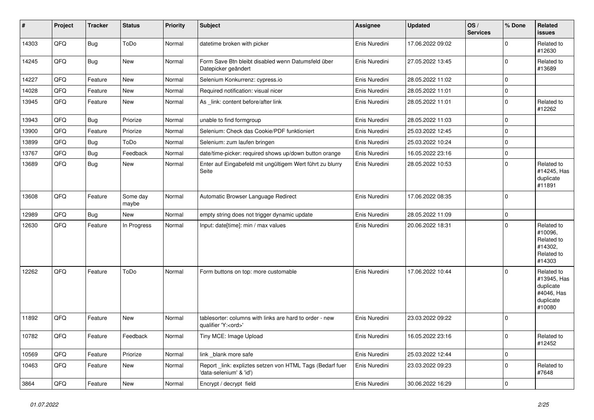| $\vert$ # | Project | <b>Tracker</b> | <b>Status</b>     | <b>Priority</b> | <b>Subject</b>                                                                        | <b>Assignee</b> | <b>Updated</b>   | OS/<br><b>Services</b> | % Done       | Related<br>issues                                                           |
|-----------|---------|----------------|-------------------|-----------------|---------------------------------------------------------------------------------------|-----------------|------------------|------------------------|--------------|-----------------------------------------------------------------------------|
| 14303     | QFQ     | <b>Bug</b>     | ToDo              | Normal          | datetime broken with picker                                                           | Enis Nuredini   | 17.06.2022 09:02 |                        | $\mathbf 0$  | Related to<br>#12630                                                        |
| 14245     | QFQ     | <b>Bug</b>     | <b>New</b>        | Normal          | Form Save Btn bleibt disabled wenn Datumsfeld über<br>Datepicker geändert             | Enis Nuredini   | 27.05.2022 13:45 |                        | $\mathbf 0$  | Related to<br>#13689                                                        |
| 14227     | QFQ     | Feature        | New               | Normal          | Selenium Konkurrenz: cypress.io                                                       | Enis Nuredini   | 28.05.2022 11:02 |                        | $\mathbf 0$  |                                                                             |
| 14028     | QFQ     | Feature        | <b>New</b>        | Normal          | Required notification: visual nicer                                                   | Enis Nuredini   | 28.05.2022 11:01 |                        | $\mathbf{0}$ |                                                                             |
| 13945     | QFQ     | Feature        | New               | Normal          | As _link: content before/after link                                                   | Enis Nuredini   | 28.05.2022 11:01 |                        | $\Omega$     | Related to<br>#12262                                                        |
| 13943     | QFQ     | <b>Bug</b>     | Priorize          | Normal          | unable to find formgroup                                                              | Enis Nuredini   | 28.05.2022 11:03 |                        | $\mathbf 0$  |                                                                             |
| 13900     | QFQ     | Feature        | Priorize          | Normal          | Selenium: Check das Cookie/PDF funktioniert                                           | Enis Nuredini   | 25.03.2022 12:45 |                        | $\mathbf 0$  |                                                                             |
| 13899     | QFQ     | <b>Bug</b>     | ToDo              | Normal          | Selenium: zum laufen bringen                                                          | Enis Nuredini   | 25.03.2022 10:24 |                        | $\mathbf 0$  |                                                                             |
| 13767     | QFQ     | <b>Bug</b>     | Feedback          | Normal          | date/time-picker: required shows up/down button orange                                | Enis Nuredini   | 16.05.2022 23:16 |                        | $\mathbf 0$  |                                                                             |
| 13689     | QFQ     | Bug            | New               | Normal          | Enter auf Eingabefeld mit ungültigem Wert führt zu blurry<br>Seite                    | Enis Nuredini   | 28.05.2022 10:53 |                        | $\mathbf 0$  | Related to<br>#14245, Has<br>duplicate<br>#11891                            |
| 13608     | QFQ     | Feature        | Some day<br>maybe | Normal          | Automatic Browser Language Redirect                                                   | Enis Nuredini   | 17.06.2022 08:35 |                        | $\Omega$     |                                                                             |
| 12989     | QFQ     | <b>Bug</b>     | <b>New</b>        | Normal          | empty string does not trigger dynamic update                                          | Enis Nuredini   | 28.05.2022 11:09 |                        | $\mathbf{0}$ |                                                                             |
| 12630     | QFQ     | Feature        | In Progress       | Normal          | Input: date[time]: min / max values                                                   | Enis Nuredini   | 20.06.2022 18:31 |                        | $\mathbf 0$  | Related to<br>#10096,<br>Related to<br>#14302,<br>Related to<br>#14303      |
| 12262     | QFQ     | Feature        | ToDo              | Normal          | Form buttons on top: more customable                                                  | Enis Nuredini   | 17.06.2022 10:44 |                        | $\Omega$     | Related to<br>#13945, Has<br>duplicate<br>#4046, Has<br>duplicate<br>#10080 |
| 11892     | QFQ     | Feature        | <b>New</b>        | Normal          | tablesorter: columns with links are hard to order - new<br>qualifier 'Y: <ord>'</ord> | Enis Nuredini   | 23.03.2022 09:22 |                        | $\mathbf 0$  |                                                                             |
| 10782     | QFQ     | Feature        | Feedback          | Normal          | Tiny MCE: Image Upload                                                                | Enis Nuredini   | 16.05.2022 23:16 |                        | $\Omega$     | Related to<br>#12452                                                        |
| 10569     | QFQ     | Feature        | Priorize          | Normal          | link _blank more safe                                                                 | Enis Nuredini   | 25.03.2022 12:44 |                        | $\mathbf 0$  |                                                                             |
| 10463     | QFQ     | Feature        | New               | Normal          | Report_link: expliztes setzen von HTML Tags (Bedarf fuer<br>'data-selenium' & 'id')   | Enis Nuredini   | 23.03.2022 09:23 |                        | $\mathbf{0}$ | Related to<br>#7648                                                         |
| 3864      | QFQ     | Feature        | New               | Normal          | Encrypt / decrypt field                                                               | Enis Nuredini   | 30.06.2022 16:29 |                        | $\mathbf 0$  |                                                                             |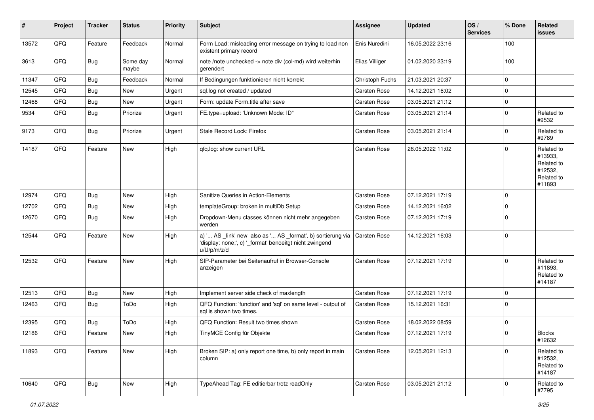| #     | Project | <b>Tracker</b> | <b>Status</b>     | <b>Priority</b> | <b>Subject</b>                                                                                                                        | <b>Assignee</b>     | <b>Updated</b>   | OS/<br><b>Services</b> | % Done      | Related<br>issues                                                      |
|-------|---------|----------------|-------------------|-----------------|---------------------------------------------------------------------------------------------------------------------------------------|---------------------|------------------|------------------------|-------------|------------------------------------------------------------------------|
| 13572 | QFQ     | Feature        | Feedback          | Normal          | Form Load: misleading error message on trying to load non<br>existent primary record                                                  | Enis Nuredini       | 16.05.2022 23:16 |                        | 100         |                                                                        |
| 3613  | QFQ     | Bug            | Some day<br>maybe | Normal          | note /note unchecked -> note div (col-md) wird weiterhin<br>gerendert                                                                 | Elias Villiger      | 01.02.2020 23:19 |                        | 100         |                                                                        |
| 11347 | QFQ     | <b>Bug</b>     | Feedback          | Normal          | If Bedingungen funktionieren nicht korrekt                                                                                            | Christoph Fuchs     | 21.03.2021 20:37 |                        | $\mathbf 0$ |                                                                        |
| 12545 | QFQ     | Bug            | New               | Urgent          | sql.log not created / updated                                                                                                         | Carsten Rose        | 14.12.2021 16:02 |                        | $\Omega$    |                                                                        |
| 12468 | QFQ     | <b>Bug</b>     | New               | Urgent          | Form: update Form.title after save                                                                                                    | <b>Carsten Rose</b> | 03.05.2021 21:12 |                        | $\mathbf 0$ |                                                                        |
| 9534  | QFQ     | Bug            | Priorize          | Urgent          | FE.type=upload: 'Unknown Mode: ID"                                                                                                    | Carsten Rose        | 03.05.2021 21:14 |                        | $\mathbf 0$ | Related to<br>#9532                                                    |
| 9173  | QFQ     | <b>Bug</b>     | Priorize          | Urgent          | Stale Record Lock: Firefox                                                                                                            | Carsten Rose        | 03.05.2021 21:14 |                        | $\mathbf 0$ | Related to<br>#9789                                                    |
| 14187 | QFQ     | Feature        | New               | High            | qfq.log: show current URL                                                                                                             | Carsten Rose        | 28.05.2022 11:02 |                        | $\mathbf 0$ | Related to<br>#13933,<br>Related to<br>#12532,<br>Related to<br>#11893 |
| 12974 | QFQ     | Bug            | <b>New</b>        | High            | Sanitize Queries in Action-Elements                                                                                                   | <b>Carsten Rose</b> | 07.12.2021 17:19 |                        | $\mathbf 0$ |                                                                        |
| 12702 | QFQ     | Bug            | New               | High            | templateGroup: broken in multiDb Setup                                                                                                | <b>Carsten Rose</b> | 14.12.2021 16:02 |                        | $\mathbf 0$ |                                                                        |
| 12670 | QFQ     | Bug            | New               | High            | Dropdown-Menu classes können nicht mehr angegeben<br>werden                                                                           | Carsten Rose        | 07.12.2021 17:19 |                        | $\mathbf 0$ |                                                                        |
| 12544 | QFQ     | Feature        | <b>New</b>        | High            | a) ' AS _link' new also as ' AS _format', b) sortierung via<br>'display: none;', c) '_format' benoeitgt nicht zwingend<br>u/U/p/m/z/d | Carsten Rose        | 14.12.2021 16:03 |                        | $\Omega$    |                                                                        |
| 12532 | QFQ     | Feature        | <b>New</b>        | High            | SIP-Parameter bei Seitenaufruf in Browser-Console<br>anzeigen                                                                         | <b>Carsten Rose</b> | 07.12.2021 17:19 |                        | $\Omega$    | Related to<br>#11893,<br>Related to<br>#14187                          |
| 12513 | QFQ     | Bug            | New               | High            | Implement server side check of maxlength                                                                                              | Carsten Rose        | 07.12.2021 17:19 |                        | $\mathbf 0$ |                                                                        |
| 12463 | QFQ     | <b>Bug</b>     | ToDo              | High            | QFQ Function: 'function' and 'sql' on same level - output of<br>sal is shown two times.                                               | <b>Carsten Rose</b> | 15.12.2021 16:31 |                        | $\mathbf 0$ |                                                                        |
| 12395 | QFQ     | Bug            | ToDo              | High            | QFQ Function: Result two times shown                                                                                                  | <b>Carsten Rose</b> | 18.02.2022 08:59 |                        | $\mathbf 0$ |                                                                        |
| 12186 | QFQ     | Feature        | New               | High            | TinyMCE Config für Objekte                                                                                                            | <b>Carsten Rose</b> | 07.12.2021 17:19 |                        | $\Omega$    | <b>Blocks</b><br>#12632                                                |
| 11893 | QFQ     | Feature        | New               | High            | Broken SIP: a) only report one time, b) only report in main<br>column                                                                 | Carsten Rose        | 12.05.2021 12:13 |                        | $\Omega$    | Related to<br>#12532,<br>Related to<br>#14187                          |
| 10640 | QFQ     | <b>Bug</b>     | New               | High            | TypeAhead Tag: FE editierbar trotz readOnly                                                                                           | Carsten Rose        | 03.05.2021 21:12 |                        | 0           | Related to<br>#7795                                                    |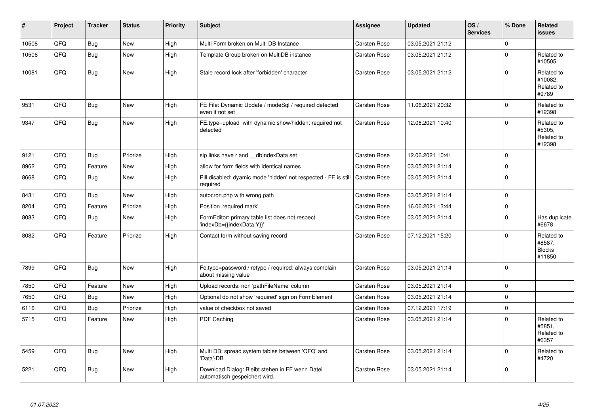| #     | Project | <b>Tracker</b> | <b>Status</b> | <b>Priority</b> | <b>Subject</b>                                                                   | <b>Assignee</b>     | <b>Updated</b>   | OS/<br><b>Services</b> | % Done       | <b>Related</b><br><b>issues</b>                 |
|-------|---------|----------------|---------------|-----------------|----------------------------------------------------------------------------------|---------------------|------------------|------------------------|--------------|-------------------------------------------------|
| 10508 | QFQ     | Bug            | <b>New</b>    | High            | Multi Form broken on Multi DB Instance                                           | Carsten Rose        | 03.05.2021 21:12 |                        | $\Omega$     |                                                 |
| 10506 | QFQ     | Bug            | New           | High            | Template Group broken on MultiDB instance                                        | Carsten Rose        | 03.05.2021 21:12 |                        | $\Omega$     | Related to<br>#10505                            |
| 10081 | QFQ     | Bug            | New           | High            | Stale record lock after 'forbidden' character                                    | Carsten Rose        | 03.05.2021 21:12 |                        | $\Omega$     | Related to<br>#10082.<br>Related to<br>#9789    |
| 9531  | QFQ     | <b>Bug</b>     | New           | High            | FE File: Dynamic Update / modeSql / required detected<br>even it not set         | <b>Carsten Rose</b> | 11.06.2021 20:32 |                        | $\mathbf{0}$ | Related to<br>#12398                            |
| 9347  | QFQ     | <b>Bug</b>     | New           | High            | FE.type=upload with dynamic show/hidden: required not<br>detected                | Carsten Rose        | 12.06.2021 10:40 |                        | $\Omega$     | Related to<br>#5305,<br>Related to<br>#12398    |
| 9121  | QFQ     | Bug            | Priorize      | High            | sip links have r and __dbIndexData set                                           | Carsten Rose        | 12.06.2021 10:41 |                        | $\mathbf 0$  |                                                 |
| 8962  | QFQ     | Feature        | New           | High            | allow for form fields with identical names                                       | <b>Carsten Rose</b> | 03.05.2021 21:14 |                        | $\mathbf 0$  |                                                 |
| 8668  | QFQ     | Bug            | New           | High            | Pill disabled: dyamic mode 'hidden' not respected - FE is still<br>required      | Carsten Rose        | 03.05.2021 21:14 |                        | $\mathbf 0$  |                                                 |
| 8431  | QFQ     | Bug            | New           | High            | autocron.php with wrong path                                                     | <b>Carsten Rose</b> | 03.05.2021 21:14 |                        | $\mathbf 0$  |                                                 |
| 8204  | QFQ     | Feature        | Priorize      | High            | Position 'required mark'                                                         | Carsten Rose        | 16.06.2021 13:44 |                        | $\mathbf 0$  |                                                 |
| 8083  | QFQ     | Bug            | New           | High            | FormEditor: primary table list does not respect<br>'indexDb={{indexData:Y}}'     | <b>Carsten Rose</b> | 03.05.2021 21:14 |                        | $\Omega$     | Has duplicate<br>#6678                          |
| 8082  | QFQ     | Feature        | Priorize      | High            | Contact form without saving record                                               | Carsten Rose        | 07.12.2021 15:20 |                        | $\Omega$     | Related to<br>#8587,<br><b>Blocks</b><br>#11850 |
| 7899  | QFQ     | Bug            | New           | High            | Fe.type=password / retype / required: always complain<br>about missing value     | <b>Carsten Rose</b> | 03.05.2021 21:14 |                        | $\Omega$     |                                                 |
| 7850  | QFQ     | Feature        | <b>New</b>    | High            | Upload records: non 'pathFileName' column                                        | Carsten Rose        | 03.05.2021 21:14 |                        | $\mathbf 0$  |                                                 |
| 7650  | QFQ     | Bug            | New           | High            | Optional do not show 'required' sign on FormElement                              | <b>Carsten Rose</b> | 03.05.2021 21:14 |                        | $\Omega$     |                                                 |
| 6116  | QFQ     | Bug            | Priorize      | High            | value of checkbox not saved                                                      | Carsten Rose        | 07.12.2021 17:19 |                        | $\mathbf 0$  |                                                 |
| 5715  | QFQ     | Feature        | New           | High            | <b>PDF Caching</b>                                                               | Carsten Rose        | 03.05.2021 21:14 |                        | $\Omega$     | Related to<br>#5851,<br>Related to<br>#6357     |
| 5459  | QFQ     | <b>Bug</b>     | New           | High            | Multi DB: spread system tables between 'QFQ' and<br>'Data'-DB                    | Carsten Rose        | 03.05.2021 21:14 |                        | $\mathbf 0$  | Related to<br>#4720                             |
| 5221  | QFQ     | Bug            | New           | High            | Download Dialog: Bleibt stehen in FF wenn Datei<br>automatisch gespeichert wird. | <b>Carsten Rose</b> | 03.05.2021 21:14 |                        | $\Omega$     |                                                 |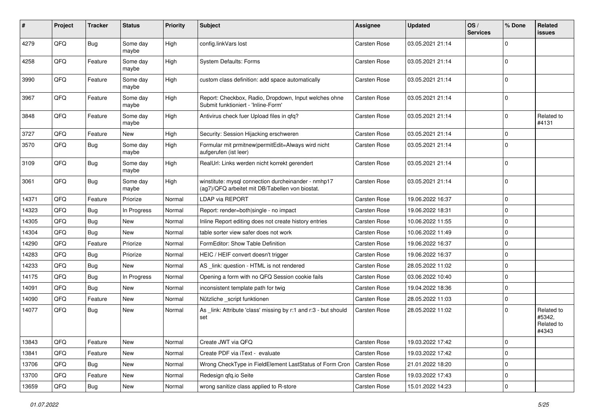| ∦     | Project | <b>Tracker</b> | <b>Status</b>     | <b>Priority</b> | Subject                                                                                                | <b>Assignee</b>     | <b>Updated</b>   | OS/<br><b>Services</b> | % Done      | Related<br>issues                           |
|-------|---------|----------------|-------------------|-----------------|--------------------------------------------------------------------------------------------------------|---------------------|------------------|------------------------|-------------|---------------------------------------------|
| 4279  | QFQ     | <b>Bug</b>     | Some day<br>maybe | High            | config.linkVars lost                                                                                   | <b>Carsten Rose</b> | 03.05.2021 21:14 |                        | $\Omega$    |                                             |
| 4258  | QFQ     | Feature        | Some day<br>maybe | High            | <b>System Defaults: Forms</b>                                                                          | <b>Carsten Rose</b> | 03.05.2021 21:14 |                        | $\Omega$    |                                             |
| 3990  | QFQ     | Feature        | Some day<br>maybe | High            | custom class definition: add space automatically                                                       | Carsten Rose        | 03.05.2021 21:14 |                        | $\Omega$    |                                             |
| 3967  | QFQ     | Feature        | Some day<br>maybe | High            | Report: Checkbox, Radio, Dropdown, Input welches ohne<br>Submit funktioniert - 'Inline-Form'           | Carsten Rose        | 03.05.2021 21:14 |                        | $\Omega$    |                                             |
| 3848  | QFQ     | Feature        | Some day<br>maybe | High            | Antivirus check fuer Upload files in gfg?                                                              | Carsten Rose        | 03.05.2021 21:14 |                        | $\mathbf 0$ | Related to<br>#4131                         |
| 3727  | QFQ     | Feature        | New               | High            | Security: Session Hijacking erschweren                                                                 | <b>Carsten Rose</b> | 03.05.2021 21:14 |                        | $\Omega$    |                                             |
| 3570  | QFQ     | <b>Bug</b>     | Some day<br>maybe | High            | Formular mit prmitnew permitEdit=Always wird nicht<br>aufgerufen (ist leer)                            | Carsten Rose        | 03.05.2021 21:14 |                        | $\Omega$    |                                             |
| 3109  | QFQ     | Bug            | Some day<br>maybe | High            | RealUrl: Links werden nicht korrekt gerendert                                                          | Carsten Rose        | 03.05.2021 21:14 |                        | $\Omega$    |                                             |
| 3061  | QFQ     | Bug            | Some day<br>maybe | High            | winstitute: mysql connection durcheinander - nmhp17<br>(ag7)/QFQ arbeitet mit DB/Tabellen von biostat. | Carsten Rose        | 03.05.2021 21:14 |                        | $\Omega$    |                                             |
| 14371 | QFQ     | Feature        | Priorize          | Normal          | <b>LDAP via REPORT</b>                                                                                 | <b>Carsten Rose</b> | 19.06.2022 16:37 |                        | $\mathbf 0$ |                                             |
| 14323 | QFQ     | Bug            | In Progress       | Normal          | Report: render=both single - no impact                                                                 | <b>Carsten Rose</b> | 19.06.2022 18:31 |                        | $\Omega$    |                                             |
| 14305 | QFQ     | Bug            | <b>New</b>        | Normal          | Inline Report editing does not create history entries                                                  | Carsten Rose        | 10.06.2022 11:55 |                        | $\mathbf 0$ |                                             |
| 14304 | QFQ     | <b>Bug</b>     | New               | Normal          | table sorter view safer does not work                                                                  | Carsten Rose        | 10.06.2022 11:49 |                        | $\mathbf 0$ |                                             |
| 14290 | QFQ     | Feature        | Priorize          | Normal          | FormEditor: Show Table Definition                                                                      | Carsten Rose        | 19.06.2022 16:37 |                        | $\Omega$    |                                             |
| 14283 | QFQ     | Bug            | Priorize          | Normal          | HEIC / HEIF convert doesn't trigger                                                                    | <b>Carsten Rose</b> | 19.06.2022 16:37 |                        | $\Omega$    |                                             |
| 14233 | QFQ     | Bug            | New               | Normal          | AS _link: question - HTML is not rendered                                                              | Carsten Rose        | 28.05.2022 11:02 |                        | $\Omega$    |                                             |
| 14175 | QFQ     | Bug            | In Progress       | Normal          | Opening a form with no QFQ Session cookie fails                                                        | <b>Carsten Rose</b> | 03.06.2022 10:40 |                        | $\Omega$    |                                             |
| 14091 | QFQ     | <b>Bug</b>     | New               | Normal          | inconsistent template path for twig                                                                    | <b>Carsten Rose</b> | 19.04.2022 18:36 |                        | $\Omega$    |                                             |
| 14090 | QFQ     | Feature        | New               | Normal          | Nützliche _script funktionen                                                                           | Carsten Rose        | 28.05.2022 11:03 |                        | $\mathbf 0$ |                                             |
| 14077 | QFQ     | <b>Bug</b>     | <b>New</b>        | Normal          | As link: Attribute 'class' missing by r:1 and r:3 - but should<br>set                                  | Carsten Rose        | 28.05.2022 11:02 |                        | $\Omega$    | Related to<br>#5342,<br>Related to<br>#4343 |
| 13843 | QFQ     | Feature        | New               | Normal          | Create JWT via QFQ                                                                                     | Carsten Rose        | 19.03.2022 17:42 |                        | $\mathbf 0$ |                                             |
| 13841 | QFQ     | Feature        | New               | Normal          | Create PDF via iText - evaluate                                                                        | Carsten Rose        | 19.03.2022 17:42 |                        | $\pmb{0}$   |                                             |
| 13706 | QFQ     | Bug            | New               | Normal          | Wrong CheckType in FieldElement LastStatus of Form Cron                                                | Carsten Rose        | 21.01.2022 18:20 |                        | $\pmb{0}$   |                                             |
| 13700 | QFQ     | Feature        | New               | Normal          | Redesign qfq.io Seite                                                                                  | Carsten Rose        | 19.03.2022 17:43 |                        | $\mathbf 0$ |                                             |
| 13659 | QFQ     | Bug            | New               | Normal          | wrong sanitize class applied to R-store                                                                | Carsten Rose        | 15.01.2022 14:23 |                        | $\mathbf 0$ |                                             |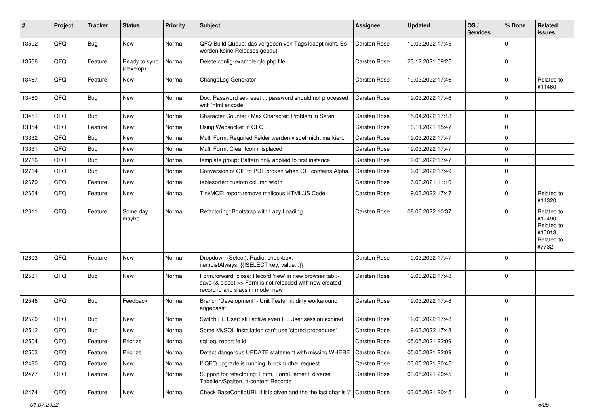| $\sharp$ | Project | <b>Tracker</b> | <b>Status</b>              | <b>Priority</b> | Subject                                                                                                                                             | <b>Assignee</b>     | <b>Updated</b>   | OS/<br><b>Services</b> | % Done      | Related<br><b>issues</b>                                              |
|----------|---------|----------------|----------------------------|-----------------|-----------------------------------------------------------------------------------------------------------------------------------------------------|---------------------|------------------|------------------------|-------------|-----------------------------------------------------------------------|
| 13592    | QFQ     | <b>Bug</b>     | New                        | Normal          | QFQ Build Queue: das vergeben von Tags klappt nicht. Es<br>werden keine Releases gebaut.                                                            | <b>Carsten Rose</b> | 19.03.2022 17:45 |                        | $\Omega$    |                                                                       |
| 13566    | QFQ     | Feature        | Ready to sync<br>(develop) | Normal          | Delete config-example.qfq.php file                                                                                                                  | Carsten Rose        | 23.12.2021 09:25 |                        | $\mathbf 0$ |                                                                       |
| 13467    | QFQ     | Feature        | New                        | Normal          | ChangeLog Generator                                                                                                                                 | <b>Carsten Rose</b> | 19.03.2022 17:46 |                        | $\Omega$    | Related to<br>#11460                                                  |
| 13460    | QFQ     | Bug            | New                        | Normal          | Doc: Password set/reset  password should not processed<br>with 'html encode'                                                                        | Carsten Rose        | 19.03.2022 17:46 |                        | $\Omega$    |                                                                       |
| 13451    | QFQ     | <b>Bug</b>     | <b>New</b>                 | Normal          | Character Counter / Max Character: Problem in Safari                                                                                                | Carsten Rose        | 15.04.2022 17:18 |                        | $\mathbf 0$ |                                                                       |
| 13354    | QFQ     | Feature        | New                        | Normal          | Using Websocket in QFQ                                                                                                                              | Carsten Rose        | 10.11.2021 15:47 |                        | $\mathbf 0$ |                                                                       |
| 13332    | QFQ     | <b>Bug</b>     | New                        | Normal          | Multi Form: Required Felder werden visuell nicht markiert.                                                                                          | Carsten Rose        | 19.03.2022 17:47 |                        | $\Omega$    |                                                                       |
| 13331    | QFQ     | <b>Bug</b>     | New                        | Normal          | Multi Form: Clear Icon misplaced                                                                                                                    | Carsten Rose        | 19.03.2022 17:47 |                        | $\mathbf 0$ |                                                                       |
| 12716    | QFQ     | Bug            | New                        | Normal          | template group: Pattern only applied to first instance                                                                                              | Carsten Rose        | 19.03.2022 17:47 |                        | $\mathbf 0$ |                                                                       |
| 12714    | QFQ     | <b>Bug</b>     | <b>New</b>                 | Normal          | Conversion of GIF to PDF broken when GIF contains Alpha.                                                                                            | Carsten Rose        | 19.03.2022 17:49 |                        | $\mathbf 0$ |                                                                       |
| 12679    | QFQ     | Feature        | New                        | Normal          | tablesorter: custom column width                                                                                                                    | Carsten Rose        | 16.06.2021 11:10 |                        | 0           |                                                                       |
| 12664    | QFQ     | Feature        | New                        | Normal          | TinyMCE: report/remove malicous HTML/JS Code                                                                                                        | Carsten Rose        | 19.03.2022 17:47 |                        | $\Omega$    | Related to<br>#14320                                                  |
| 12611    | QFQ     | Feature        | Some day<br>maybe          | Normal          | Refactoring: Bootstrap with Lazy Loading                                                                                                            | Carsten Rose        | 08.06.2022 10:37 |                        | $\mathbf 0$ | Related to<br>#12490,<br>Related to<br>#10013,<br>Related to<br>#7732 |
| 12603    | QFQ     | Feature        | New                        | Normal          | Dropdown (Select), Radio, checkbox:<br>itemListAlways={{!SELECT key, value}}                                                                        | <b>Carsten Rose</b> | 19.03.2022 17:47 |                        | $\Omega$    |                                                                       |
| 12581    | QFQ     | <b>Bug</b>     | New                        | Normal          | Form.forward=close: Record 'new' in new browser tab ><br>save (& close) >> Form is not reloaded with new created<br>record id and stays in mode=new | Carsten Rose        | 19.03.2022 17:48 |                        | $\mathbf 0$ |                                                                       |
| 12546    | QFQ     | Bug            | Feedback                   | Normal          | Branch 'Development' - Unit Tests mit dirty workaround<br>angepasst                                                                                 | Carsten Rose        | 19.03.2022 17:48 |                        | $\Omega$    |                                                                       |
| 12520    | QFQ     | <b>Bug</b>     | <b>New</b>                 | Normal          | Switch FE User: still active even FE User session expired                                                                                           | Carsten Rose        | 19.03.2022 17:48 |                        | $\mathbf 0$ |                                                                       |
| 12512    | QFQ     | Bug            | New                        | Normal          | Some MySQL Installation can't use 'stored procedures'                                                                                               | Carsten Rose        | 19.03.2022 17:48 |                        | $\mathbf 0$ |                                                                       |
| 12504    | QFQ     | Feature        | Priorize                   | Normal          | sql.log: report fe.id                                                                                                                               | Carsten Rose        | 05.05.2021 22:09 |                        | 0           |                                                                       |
| 12503    | QFQ     | Feature        | Priorize                   | Normal          | Detect dangerous UPDATE statement with missing WHERE                                                                                                | Carsten Rose        | 05.05.2021 22:09 |                        | $\mathbf 0$ |                                                                       |
| 12480    | QFQ     | Feature        | New                        | Normal          | If QFQ upgrade is running, block further request                                                                                                    | Carsten Rose        | 03.05.2021 20:45 |                        | 0           |                                                                       |
| 12477    | QFQ     | Feature        | New                        | Normal          | Support for refactoring: Form, FormElement, diverse<br>Tabellen/Spalten, tt-content Records                                                         | Carsten Rose        | 03.05.2021 20:45 |                        | $\mathbf 0$ |                                                                       |
| 12474    | QFQ     | Feature        | New                        | Normal          | Check BaseConfigURL if it is given and the the last char is '/'                                                                                     | Carsten Rose        | 03.05.2021 20:45 |                        | $\pmb{0}$   |                                                                       |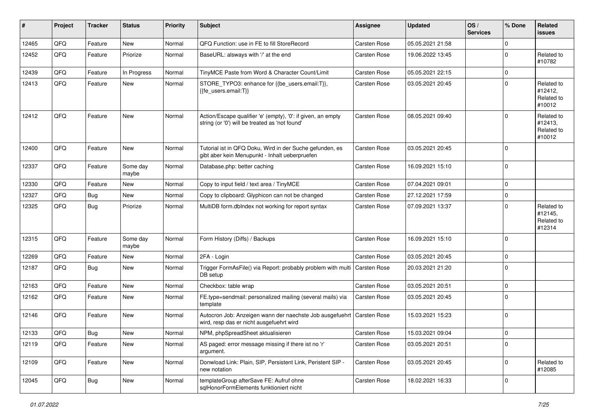| $\#$  | Project | <b>Tracker</b> | <b>Status</b>     | <b>Priority</b> | Subject                                                                                                             | <b>Assignee</b>     | <b>Updated</b>   | OS/<br><b>Services</b> | % Done       | Related<br><b>issues</b>                      |
|-------|---------|----------------|-------------------|-----------------|---------------------------------------------------------------------------------------------------------------------|---------------------|------------------|------------------------|--------------|-----------------------------------------------|
| 12465 | QFQ     | Feature        | <b>New</b>        | Normal          | QFQ Function: use in FE to fill StoreRecord                                                                         | Carsten Rose        | 05.05.2021 21:58 |                        | 0            |                                               |
| 12452 | QFQ     | Feature        | Priorize          | Normal          | BaseURL: alsways with '/' at the end                                                                                | <b>Carsten Rose</b> | 19.06.2022 13:45 |                        | $\mathbf 0$  | Related to<br>#10782                          |
| 12439 | QFQ     | Feature        | In Progress       | Normal          | TinyMCE Paste from Word & Character Count/Limit                                                                     | <b>Carsten Rose</b> | 05.05.2021 22:15 |                        | 0            |                                               |
| 12413 | QFQ     | Feature        | New               | Normal          | STORE_TYPO3: enhance for {{be_users.email:T}},<br>{{fe_users.email:T}}                                              | <b>Carsten Rose</b> | 03.05.2021 20:45 |                        | $\Omega$     | Related to<br>#12412,<br>Related to<br>#10012 |
| 12412 | QFQ     | Feature        | New               | Normal          | Action/Escape qualifier 'e' (empty), '0': if given, an empty<br>string (or '0') will be treated as 'not found'      | <b>Carsten Rose</b> | 08.05.2021 09:40 |                        | $\mathbf{0}$ | Related to<br>#12413,<br>Related to<br>#10012 |
| 12400 | QFQ     | Feature        | New               | Normal          | Tutorial ist in QFQ Doku, Wird in der Suche gefunden, es<br>gibt aber kein Menupunkt - Inhalt ueberpruefen          | <b>Carsten Rose</b> | 03.05.2021 20:45 |                        | $\mathbf 0$  |                                               |
| 12337 | QFQ     | Feature        | Some day<br>maybe | Normal          | Database.php: better caching                                                                                        | <b>Carsten Rose</b> | 16.09.2021 15:10 |                        | $\mathbf 0$  |                                               |
| 12330 | QFQ     | Feature        | New               | Normal          | Copy to input field / text area / TinyMCE                                                                           | Carsten Rose        | 07.04.2021 09:01 |                        | $\mathbf 0$  |                                               |
| 12327 | QFQ     | <b>Bug</b>     | New               | Normal          | Copy to clipboard: Glyphicon can not be changed                                                                     | <b>Carsten Rose</b> | 27.12.2021 17:59 |                        | 0            |                                               |
| 12325 | QFQ     | Bug            | Priorize          | Normal          | MultiDB form.dblndex not working for report syntax                                                                  | <b>Carsten Rose</b> | 07.09.2021 13:37 |                        | $\Omega$     | Related to<br>#12145,<br>Related to<br>#12314 |
| 12315 | QFQ     | Feature        | Some day<br>maybe | Normal          | Form History (Diffs) / Backups                                                                                      | <b>Carsten Rose</b> | 16.09.2021 15:10 |                        | $\mathbf 0$  |                                               |
| 12269 | QFQ     | Feature        | New               | Normal          | 2FA - Login                                                                                                         | <b>Carsten Rose</b> | 03.05.2021 20:45 |                        | 0            |                                               |
| 12187 | QFQ     | Bug            | New               | Normal          | Trigger FormAsFile() via Report: probably problem with multi   Carsten Rose<br>DB setup                             |                     | 20.03.2021 21:20 |                        | $\Omega$     |                                               |
| 12163 | QFQ     | Feature        | New               | Normal          | Checkbox: table wrap                                                                                                | Carsten Rose        | 03.05.2021 20:51 |                        | $\mathbf 0$  |                                               |
| 12162 | QFQ     | Feature        | New               | Normal          | FE.type=sendmail: personalized mailing (several mails) via<br>template                                              | <b>Carsten Rose</b> | 03.05.2021 20:45 |                        | $\mathbf 0$  |                                               |
| 12146 | QFQ     | Feature        | <b>New</b>        | Normal          | Autocron Job: Anzeigen wann der naechste Job ausgefuehrt   Carsten Rose<br>wird, resp das er nicht ausgefuehrt wird |                     | 15.03.2021 15:23 |                        | $\mathbf 0$  |                                               |
| 12133 | QFQ     | Bug            | New               | Normal          | NPM, phpSpreadSheet aktualisieren                                                                                   | <b>Carsten Rose</b> | 15.03.2021 09:04 |                        | $\mathbf 0$  |                                               |
| 12119 | QFQ     | Feature        | New               | Normal          | AS paged: error message missing if there ist no 'r'<br>argument.                                                    | Carsten Rose        | 03.05.2021 20:51 |                        | $\mathbf 0$  |                                               |
| 12109 | QFQ     | Feature        | New               | Normal          | Donwload Link: Plain, SIP, Persistent Link, Peristent SIP -<br>new notation                                         | Carsten Rose        | 03.05.2021 20:45 |                        | $\mathbf 0$  | Related to<br>#12085                          |
| 12045 | QFQ     | <b>Bug</b>     | New               | Normal          | templateGroup afterSave FE: Aufruf ohne<br>sqlHonorFormElements funktioniert nicht                                  | Carsten Rose        | 18.02.2021 16:33 |                        | 0            |                                               |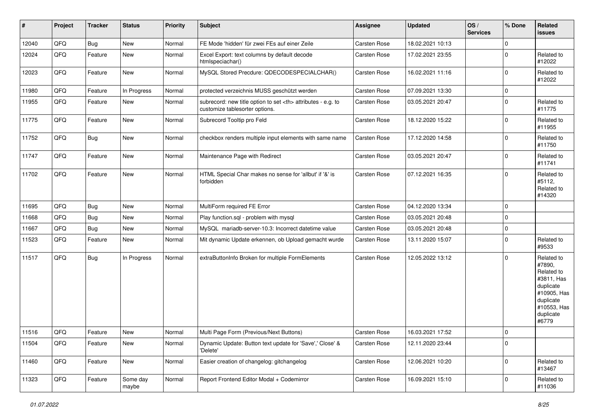| $\vert$ # | Project | <b>Tracker</b> | <b>Status</b>     | <b>Priority</b> | <b>Subject</b>                                                                                       | Assignee                                               | <b>Updated</b>   | OS/<br><b>Services</b> | % Done       | Related<br>issues                                                                                                              |                      |
|-----------|---------|----------------|-------------------|-----------------|------------------------------------------------------------------------------------------------------|--------------------------------------------------------|------------------|------------------------|--------------|--------------------------------------------------------------------------------------------------------------------------------|----------------------|
| 12040     | QFQ     | Bug            | New               | Normal          | FE Mode 'hidden' für zwei FEs auf einer Zeile                                                        | Carsten Rose                                           | 18.02.2021 10:13 |                        | $\mathbf 0$  |                                                                                                                                |                      |
| 12024     | QFQ     | Feature        | New               | Normal          | Excel Export: text columns by default decode<br>htmlspeciachar()                                     | <b>Carsten Rose</b>                                    | 17.02.2021 23:55 |                        | $\mathbf 0$  | Related to<br>#12022                                                                                                           |                      |
| 12023     | QFQ     | Feature        | New               | Normal          | MySQL Stored Precdure: QDECODESPECIALCHAR()                                                          | <b>Carsten Rose</b>                                    | 16.02.2021 11:16 |                        | $\mathbf 0$  | Related to<br>#12022                                                                                                           |                      |
| 11980     | QFQ     | Feature        | In Progress       | Normal          | protected verzeichnis MUSS geschützt werden                                                          | Carsten Rose                                           | 07.09.2021 13:30 |                        | 0            |                                                                                                                                |                      |
| 11955     | QFQ     | Feature        | New               | Normal          | subrecord: new title option to set <th> attributes - e.g. to<br/>customize tablesorter options.</th> | attributes - e.g. to<br>customize tablesorter options. | Carsten Rose     | 03.05.2021 20:47       |              | $\mathbf 0$                                                                                                                    | Related to<br>#11775 |
| 11775     | QFQ     | Feature        | New               | Normal          | Subrecord Tooltip pro Feld                                                                           | Carsten Rose                                           | 18.12.2020 15:22 |                        | $\mathbf 0$  | Related to<br>#11955                                                                                                           |                      |
| 11752     | QFQ     | <b>Bug</b>     | New               | Normal          | checkbox renders multiple input elements with same name                                              | <b>Carsten Rose</b>                                    | 17.12.2020 14:58 |                        | $\mathbf 0$  | Related to<br>#11750                                                                                                           |                      |
| 11747     | QFQ     | Feature        | New               | Normal          | Maintenance Page with Redirect                                                                       | <b>Carsten Rose</b>                                    | 03.05.2021 20:47 |                        | $\mathbf 0$  | Related to<br>#11741                                                                                                           |                      |
| 11702     | QFQ     | Feature        | New               | Normal          | HTML Special Char makes no sense for 'allbut' if '&' is<br>forbidden                                 | Carsten Rose                                           | 07.12.2021 16:35 |                        | $\mathbf{0}$ | Related to<br>#5112,<br>Related to<br>#14320                                                                                   |                      |
| 11695     | QFQ     | <b>Bug</b>     | New               | Normal          | MultiForm required FE Error                                                                          | <b>Carsten Rose</b>                                    | 04.12.2020 13:34 |                        | 0            |                                                                                                                                |                      |
| 11668     | QFQ     | Bug            | New               | Normal          | Play function.sql - problem with mysql                                                               | Carsten Rose                                           | 03.05.2021 20:48 |                        | 0            |                                                                                                                                |                      |
| 11667     | QFQ     | Bug            | New               | Normal          | MySQL mariadb-server-10.3: Incorrect datetime value                                                  | Carsten Rose                                           | 03.05.2021 20:48 |                        | 0            |                                                                                                                                |                      |
| 11523     | QFQ     | Feature        | New               | Normal          | Mit dynamic Update erkennen, ob Upload gemacht wurde                                                 | Carsten Rose                                           | 13.11.2020 15:07 |                        | $\mathbf 0$  | Related to<br>#9533                                                                                                            |                      |
| 11517     | QFQ     | <b>Bug</b>     | In Progress       | Normal          | extraButtonInfo Broken for multiple FormElements                                                     | Carsten Rose                                           | 12.05.2022 13:12 |                        | $\mathbf 0$  | Related to<br>#7890,<br>Related to<br>#3811, Has<br>duplicate<br>#10905, Has<br>duplicate<br>#10553, Has<br>duplicate<br>#6779 |                      |
| 11516     | QFQ     | Feature        | New               | Normal          | Multi Page Form (Previous/Next Buttons)                                                              | <b>Carsten Rose</b>                                    | 16.03.2021 17:52 |                        | $\mathbf 0$  |                                                                                                                                |                      |
| 11504     | QFQ     | Feature        | New               | Normal          | Dynamic Update: Button text update for 'Save',' Close' &<br>'Delete'                                 | Carsten Rose                                           | 12.11.2020 23:44 |                        | $\mathbf 0$  |                                                                                                                                |                      |
| 11460     | QFQ     | Feature        | New               | Normal          | Easier creation of changelog: gitchangelog                                                           | Carsten Rose                                           | 12.06.2021 10:20 |                        | $\mathbf 0$  | Related to<br>#13467                                                                                                           |                      |
| 11323     | QFQ     | Feature        | Some day<br>maybe | Normal          | Report Frontend Editor Modal + Codemirror                                                            | Carsten Rose                                           | 16.09.2021 15:10 |                        | $\mathbf 0$  | Related to<br>#11036                                                                                                           |                      |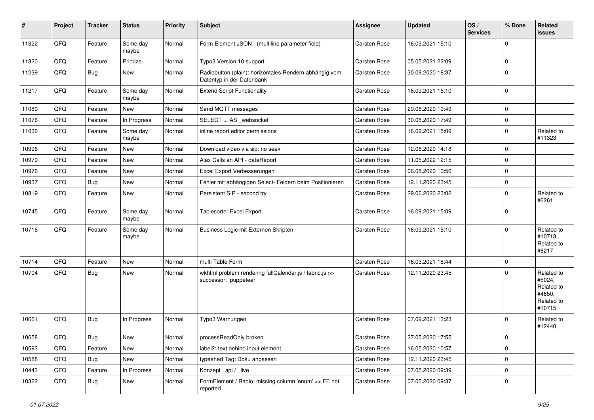| #     | Project | <b>Tracker</b> | <b>Status</b>     | <b>Priority</b> | <b>Subject</b>                                                                      | <b>Assignee</b>     | <b>Updated</b>   | OS/<br><b>Services</b> | % Done      | Related<br>issues                                                    |
|-------|---------|----------------|-------------------|-----------------|-------------------------------------------------------------------------------------|---------------------|------------------|------------------------|-------------|----------------------------------------------------------------------|
| 11322 | QFQ     | Feature        | Some day<br>maybe | Normal          | Form Element JSON - (multiline parameter field)                                     | <b>Carsten Rose</b> | 16.09.2021 15:10 |                        | $\mathbf 0$ |                                                                      |
| 11320 | QFQ     | Feature        | Priorize          | Normal          | Typo3 Version 10 support                                                            | Carsten Rose        | 05.05.2021 22:09 |                        | $\mathbf 0$ |                                                                      |
| 11239 | QFQ     | <b>Bug</b>     | New               | Normal          | Radiobutton (plain): horizontales Rendern abhängig vom<br>Datentyp in der Datenbank | <b>Carsten Rose</b> | 30.09.2020 18:37 |                        | $\mathbf 0$ |                                                                      |
| 11217 | QFQ     | Feature        | Some day<br>maybe | Normal          | <b>Extend Script Functionality</b>                                                  | Carsten Rose        | 16.09.2021 15:10 |                        | $\mathbf 0$ |                                                                      |
| 11080 | QFQ     | Feature        | New               | Normal          | Send MQTT messages                                                                  | Carsten Rose        | 29.08.2020 19:49 |                        | $\mathbf 0$ |                                                                      |
| 11076 | QFQ     | Feature        | In Progress       | Normal          | SELECT  AS _websocket                                                               | Carsten Rose        | 30.08.2020 17:49 |                        | $\mathbf 0$ |                                                                      |
| 11036 | QFQ     | Feature        | Some day<br>maybe | Normal          | inline report editor permissions                                                    | Carsten Rose        | 16.09.2021 15:09 |                        | $\mathbf 0$ | Related to<br>#11323                                                 |
| 10996 | QFQ     | Feature        | New               | Normal          | Download video via sip: no seek                                                     | Carsten Rose        | 12.08.2020 14:18 |                        | $\mathbf 0$ |                                                                      |
| 10979 | QFQ     | Feature        | New               | Normal          | Ajax Calls an API - dataReport                                                      | <b>Carsten Rose</b> | 11.05.2022 12:15 |                        | $\mathbf 0$ |                                                                      |
| 10976 | QFQ     | Feature        | New               | Normal          | Excel Export Verbesserungen                                                         | Carsten Rose        | 06.08.2020 10:56 |                        | $\mathbf 0$ |                                                                      |
| 10937 | QFQ     | <b>Bug</b>     | New               | Normal          | Fehler mit abhängigen Select- Feldern beim Positionieren                            | <b>Carsten Rose</b> | 12.11.2020 23:45 |                        | $\mathbf 0$ |                                                                      |
| 10819 | QFQ     | Feature        | New               | Normal          | Persistent SIP - second try                                                         | Carsten Rose        | 29.06.2020 23:02 |                        | $\mathbf 0$ | Related to<br>#6261                                                  |
| 10745 | QFQ     | Feature        | Some day<br>maybe | Normal          | Tablesorter Excel Export                                                            | Carsten Rose        | 16.09.2021 15:09 |                        | $\mathbf 0$ |                                                                      |
| 10716 | QFQ     | Feature        | Some day<br>maybe | Normal          | Business Logic mit Externen Skripten                                                | Carsten Rose        | 16.09.2021 15:10 |                        | $\Omega$    | Related to<br>#10713,<br>Related to<br>#8217                         |
| 10714 | QFQ     | Feature        | New               | Normal          | multi Table Form                                                                    | <b>Carsten Rose</b> | 16.03.2021 18:44 |                        | $\mathbf 0$ |                                                                      |
| 10704 | QFQ     | Bug            | New               | Normal          | wkhtml problem rendering fullCalendar.js / fabric.js >><br>successor: puppeteer     | Carsten Rose        | 12.11.2020 23:45 |                        | $\mathbf 0$ | Related to<br>#5024,<br>Related to<br>#4650,<br>Related to<br>#10715 |
| 10661 | QFQ     | Bug            | In Progress       | Normal          | Typo3 Warnungen                                                                     | Carsten Rose        | 07.09.2021 13:23 |                        | $\Omega$    | Related to<br>#12440                                                 |
| 10658 | QFQ     | Bug            | New               | Normal          | processReadOnly broken                                                              | Carsten Rose        | 27.05.2020 17:55 |                        | O           |                                                                      |
| 10593 | QFQ     | Feature        | New               | Normal          | label2: text behind input element                                                   | Carsten Rose        | 16.05.2020 10:57 |                        | 0           |                                                                      |
| 10588 | QFQ     | Bug            | New               | Normal          | typeahed Tag: Doku anpassen                                                         | Carsten Rose        | 12.11.2020 23:45 |                        | 0           |                                                                      |
| 10443 | QFQ     | Feature        | In Progress       | Normal          | Konzept_api / _live                                                                 | Carsten Rose        | 07.05.2020 09:39 |                        | $\pmb{0}$   |                                                                      |
| 10322 | QFQ     | <b>Bug</b>     | New               | Normal          | FormElement / Radio: missing column 'enum' >> FE not<br>reported                    | Carsten Rose        | 07.05.2020 09:37 |                        | $\mathbf 0$ |                                                                      |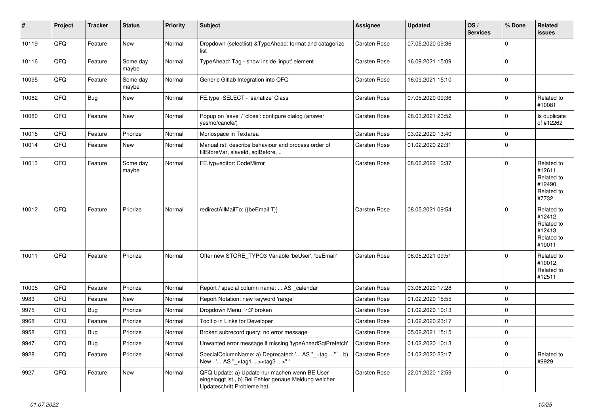| $\vert$ # | Project | <b>Tracker</b> | <b>Status</b>     | <b>Priority</b> | <b>Subject</b>                                                                                                                        | <b>Assignee</b>     | <b>Updated</b>   | OS/<br><b>Services</b> | % Done      | Related<br>issues                                                      |
|-----------|---------|----------------|-------------------|-----------------|---------------------------------------------------------------------------------------------------------------------------------------|---------------------|------------------|------------------------|-------------|------------------------------------------------------------------------|
| 10119     | QFQ     | Feature        | New               | Normal          | Dropdown (selectlist) & TypeAhead: format and catagorize<br>list                                                                      | Carsten Rose        | 07.05.2020 09:36 |                        | $\Omega$    |                                                                        |
| 10116     | QFQ     | Feature        | Some day<br>maybe | Normal          | TypeAhead: Tag - show inside 'input' element                                                                                          | Carsten Rose        | 16.09.2021 15:09 |                        | $\mathbf 0$ |                                                                        |
| 10095     | QFQ     | Feature        | Some day<br>maybe | Normal          | Generic Gitlab Integration into QFQ                                                                                                   | Carsten Rose        | 16.09.2021 15:10 |                        | $\mathbf 0$ |                                                                        |
| 10082     | QFQ     | <b>Bug</b>     | New               | Normal          | FE.type=SELECT - 'sanatize' Class                                                                                                     | <b>Carsten Rose</b> | 07.05.2020 09:36 |                        | 0           | Related to<br>#10081                                                   |
| 10080     | QFQ     | Feature        | <b>New</b>        | Normal          | Popup on 'save' / 'close': configure dialog (answer<br>yes/no/cancle/)                                                                | Carsten Rose        | 28.03.2021 20:52 |                        | $\mathbf 0$ | Is duplicate<br>of #12262                                              |
| 10015     | QFQ     | Feature        | Priorize          | Normal          | Monospace in Textarea                                                                                                                 | <b>Carsten Rose</b> | 03.02.2020 13:40 |                        | $\mathbf 0$ |                                                                        |
| 10014     | QFQ     | Feature        | New               | Normal          | Manual.rst: describe behaviour and process order of<br>fillStoreVar, slaveId, sqlBefore,                                              | Carsten Rose        | 01.02.2020 22:31 |                        | $\mathbf 0$ |                                                                        |
| 10013     | QFQ     | Feature        | Some day<br>maybe | Normal          | FE.typ=editor: CodeMirror                                                                                                             | Carsten Rose        | 08.06.2022 10:37 |                        | $\Omega$    | Related to<br>#12611,<br>Related to<br>#12490,<br>Related to<br>#7732  |
| 10012     | QFQ     | Feature        | Priorize          | Normal          | redirectAllMailTo: {{beEmail:T}}                                                                                                      | <b>Carsten Rose</b> | 08.05.2021 09:54 |                        | $\Omega$    | Related to<br>#12412,<br>Related to<br>#12413,<br>Related to<br>#10011 |
| 10011     | QFQ     | Feature        | Priorize          | Normal          | Offer new STORE_TYPO3 Variable 'beUser', 'beEmail'                                                                                    | Carsten Rose        | 08.05.2021 09:51 |                        | $\Omega$    | Related to<br>#10012,<br>Related to<br>#12511                          |
| 10005     | QFQ     | Feature        | Priorize          | Normal          | Report / special column name:  AS _calendar                                                                                           | Carsten Rose        | 03.06.2020 17:28 |                        | $\mathbf 0$ |                                                                        |
| 9983      | QFQ     | Feature        | New               | Normal          | Report Notation: new keyword 'range'                                                                                                  | <b>Carsten Rose</b> | 01.02.2020 15:55 |                        | $\mathbf 0$ |                                                                        |
| 9975      | QFQ     | Bug            | Priorize          | Normal          | Dropdown Menu: 'r:3' broken                                                                                                           | <b>Carsten Rose</b> | 01.02.2020 10:13 |                        | 0           |                                                                        |
| 9968      | QFQ     | Feature        | Priorize          | Normal          | Tooltip in Links for Developer                                                                                                        | <b>Carsten Rose</b> | 01.02.2020 23:17 |                        | $\pmb{0}$   |                                                                        |
| 9958      | QFQ     | Bug            | Priorize          | Normal          | Broken subrecord query: no error message                                                                                              | Carsten Rose        | 05.02.2021 15:15 |                        | 0           |                                                                        |
| 9947      | QFO     | <b>Bug</b>     | Priorize          | Normal          | Unwanted error message if missing 'typeAheadSqlPrefetch'                                                                              | <b>Carsten Rose</b> | 01.02.2020 10:13 |                        | 0           |                                                                        |
| 9928      | QFQ     | Feature        | Priorize          | Normal          | SpecialColumnName: a) Deprecated: ' AS "_+tag " ', b)<br>New: ' AS "_ <tag1><tag2>"'</tag2></tag1>                                    | Carsten Rose        | 01.02.2020 23:17 |                        | $\mathbf 0$ | Related to<br>#9929                                                    |
| 9927      | QFQ     | Feature        | New               | Normal          | QFQ Update: a) Update nur machen wenn BE User<br>eingeloggt ist., b) Bei Fehler genaue Meldung welcher<br>Updateschritt Probleme hat. | Carsten Rose        | 22.01.2020 12:59 |                        | $\mathbf 0$ |                                                                        |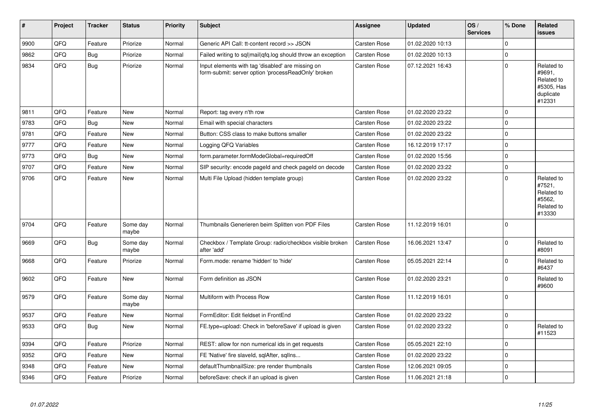| $\vert$ # | Project | <b>Tracker</b> | <b>Status</b>     | <b>Priority</b> | <b>Subject</b>                                                                                           | <b>Assignee</b>     | <b>Updated</b>   | OS/<br><b>Services</b> | % Done      | Related<br><b>issues</b>                                                |
|-----------|---------|----------------|-------------------|-----------------|----------------------------------------------------------------------------------------------------------|---------------------|------------------|------------------------|-------------|-------------------------------------------------------------------------|
| 9900      | QFQ     | Feature        | Priorize          | Normal          | Generic API Call: tt-content record >> JSON                                                              | Carsten Rose        | 01.02.2020 10:13 |                        | $\Omega$    |                                                                         |
| 9862      | QFQ     | <b>Bug</b>     | Priorize          | Normal          | Failed writing to sql mail qfq.log should throw an exception                                             | Carsten Rose        | 01.02.2020 10:13 |                        | $\mathbf 0$ |                                                                         |
| 9834      | QFQ     | <b>Bug</b>     | Priorize          | Normal          | Input elements with tag 'disabled' are missing on<br>form-submit: server option 'processReadOnly' broken | Carsten Rose        | 07.12.2021 16:43 |                        | $\Omega$    | Related to<br>#9691,<br>Related to<br>#5305, Has<br>duplicate<br>#12331 |
| 9811      | QFQ     | Feature        | <b>New</b>        | Normal          | Report: tag every n'th row                                                                               | Carsten Rose        | 01.02.2020 23:22 |                        | $\Omega$    |                                                                         |
| 9783      | QFQ     | <b>Bug</b>     | New               | Normal          | Email with special characters                                                                            | Carsten Rose        | 01.02.2020 23:22 |                        | $\pmb{0}$   |                                                                         |
| 9781      | QFQ     | Feature        | <b>New</b>        | Normal          | Button: CSS class to make buttons smaller                                                                | Carsten Rose        | 01.02.2020 23:22 |                        | $\mathbf 0$ |                                                                         |
| 9777      | QFQ     | Feature        | <b>New</b>        | Normal          | Logging QFQ Variables                                                                                    | Carsten Rose        | 16.12.2019 17:17 |                        | $\mathbf 0$ |                                                                         |
| 9773      | QFQ     | <b>Bug</b>     | <b>New</b>        | Normal          | form.parameter.formModeGlobal=requiredOff                                                                | <b>Carsten Rose</b> | 01.02.2020 15:56 |                        | $\mathbf 0$ |                                                                         |
| 9707      | QFQ     | Feature        | <b>New</b>        | Normal          | SIP security: encode pageld and check pageld on decode                                                   | Carsten Rose        | 01.02.2020 23:22 |                        | $\mathbf 0$ |                                                                         |
| 9706      | QFQ     | Feature        | <b>New</b>        | Normal          | Multi File Upload (hidden template group)                                                                | <b>Carsten Rose</b> | 01.02.2020 23:22 |                        | $\Omega$    | Related to<br>#7521,<br>Related to<br>#5562.<br>Related to<br>#13330    |
| 9704      | QFQ     | Feature        | Some day<br>maybe | Normal          | Thumbnails Generieren beim Splitten von PDF Files                                                        | Carsten Rose        | 11.12.2019 16:01 |                        | $\Omega$    |                                                                         |
| 9669      | QFQ     | <b>Bug</b>     | Some day<br>maybe | Normal          | Checkbox / Template Group: radio/checkbox visible broken<br>after 'add'                                  | Carsten Rose        | 16.06.2021 13:47 |                        | $\Omega$    | Related to<br>#8091                                                     |
| 9668      | QFQ     | Feature        | Priorize          | Normal          | Form.mode: rename 'hidden' to 'hide'                                                                     | Carsten Rose        | 05.05.2021 22:14 |                        | $\mathbf 0$ | Related to<br>#6437                                                     |
| 9602      | QFQ     | Feature        | <b>New</b>        | Normal          | Form definition as JSON                                                                                  | Carsten Rose        | 01.02.2020 23:21 |                        | $\mathbf 0$ | Related to<br>#9600                                                     |
| 9579      | QFQ     | Feature        | Some day<br>maybe | Normal          | Multiform with Process Row                                                                               | Carsten Rose        | 11.12.2019 16:01 |                        | $\mathbf 0$ |                                                                         |
| 9537      | QFQ     | Feature        | <b>New</b>        | Normal          | FormEditor: Edit fieldset in FrontEnd                                                                    | <b>Carsten Rose</b> | 01.02.2020 23:22 |                        | $\pmb{0}$   |                                                                         |
| 9533      | QFQ     | <b>Bug</b>     | <b>New</b>        | Normal          | FE.type=upload: Check in 'beforeSave' if upload is given                                                 | <b>Carsten Rose</b> | 01.02.2020 23:22 |                        | $\mathbf 0$ | Related to<br>#11523                                                    |
| 9394      | QFQ     | Feature        | Priorize          | Normal          | REST: allow for non numerical ids in get requests                                                        | Carsten Rose        | 05.05.2021 22:10 |                        | $\mathbf 0$ |                                                                         |
| 9352      | QFQ     | Feature        | <b>New</b>        | Normal          | FE 'Native' fire slaveld, sqlAfter, sqlIns                                                               | Carsten Rose        | 01.02.2020 23:22 |                        | $\mathbf 0$ |                                                                         |
| 9348      | QFQ     | Feature        | <b>New</b>        | Normal          | defaultThumbnailSize: pre render thumbnails                                                              | Carsten Rose        | 12.06.2021 09:05 |                        | $\mathbf 0$ |                                                                         |
| 9346      | QFQ     | Feature        | Priorize          | Normal          | beforeSave: check if an upload is given                                                                  | Carsten Rose        | 11.06.2021 21:18 |                        | $\mathbf 0$ |                                                                         |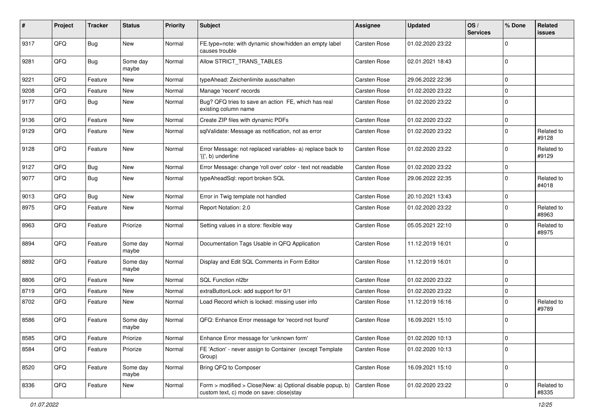| #    | Project | <b>Tracker</b> | <b>Status</b>     | <b>Priority</b> | <b>Subject</b>                                                                                         | <b>Assignee</b>     | <b>Updated</b>   | OS/<br><b>Services</b> | % Done      | <b>Related</b><br>issues |
|------|---------|----------------|-------------------|-----------------|--------------------------------------------------------------------------------------------------------|---------------------|------------------|------------------------|-------------|--------------------------|
| 9317 | QFQ     | <b>Bug</b>     | New               | Normal          | FE.type=note: with dynamic show/hidden an empty label<br>causes trouble                                | <b>Carsten Rose</b> | 01.02.2020 23:22 |                        | $\mathbf 0$ |                          |
| 9281 | QFQ     | Bug            | Some day<br>maybe | Normal          | Allow STRICT_TRANS_TABLES                                                                              | Carsten Rose        | 02.01.2021 18:43 |                        | $\Omega$    |                          |
| 9221 | QFQ     | Feature        | New               | Normal          | typeAhead: Zeichenlimite ausschalten                                                                   | Carsten Rose        | 29.06.2022 22:36 |                        | $\Omega$    |                          |
| 9208 | QFQ     | Feature        | New               | Normal          | Manage 'recent' records                                                                                | <b>Carsten Rose</b> | 01.02.2020 23:22 |                        | $\Omega$    |                          |
| 9177 | QFQ     | <b>Bug</b>     | New               | Normal          | Bug? QFQ tries to save an action FE, which has real<br>existing column name                            | <b>Carsten Rose</b> | 01.02.2020 23:22 |                        | 0           |                          |
| 9136 | QFQ     | Feature        | <b>New</b>        | Normal          | Create ZIP files with dynamic PDFs                                                                     | <b>Carsten Rose</b> | 01.02.2020 23:22 |                        | 0           |                          |
| 9129 | QFQ     | Feature        | New               | Normal          | sqlValidate: Message as notification, not as error                                                     | Carsten Rose        | 01.02.2020 23:22 |                        | $\mathbf 0$ | Related to<br>#9128      |
| 9128 | QFQ     | Feature        | New               | Normal          | Error Message: not replaced variables- a) replace back to<br>'{{', b) underline                        | <b>Carsten Rose</b> | 01.02.2020 23:22 |                        | 0           | Related to<br>#9129      |
| 9127 | QFQ     | <b>Bug</b>     | New               | Normal          | Error Message: change 'roll over' color - text not readable                                            | <b>Carsten Rose</b> | 01.02.2020 23:22 |                        | 0           |                          |
| 9077 | QFQ     | Bug            | New               | Normal          | typeAheadSql: report broken SQL                                                                        | Carsten Rose        | 29.06.2022 22:35 |                        | $\Omega$    | Related to<br>#4018      |
| 9013 | QFQ     | <b>Bug</b>     | New               | Normal          | Error in Twig template not handled                                                                     | <b>Carsten Rose</b> | 20.10.2021 13:43 |                        | $\mathbf 0$ |                          |
| 8975 | QFQ     | Feature        | New               | Normal          | Report Notation: 2.0                                                                                   | Carsten Rose        | 01.02.2020 23:22 |                        | 0           | Related to<br>#8963      |
| 8963 | QFQ     | Feature        | Priorize          | Normal          | Setting values in a store: flexible way                                                                | Carsten Rose        | 05.05.2021 22:10 |                        | $\Omega$    | Related to<br>#8975      |
| 8894 | QFQ     | Feature        | Some day<br>maybe | Normal          | Documentation Tags Usable in QFQ Application                                                           | <b>Carsten Rose</b> | 11.12.2019 16:01 |                        | $\Omega$    |                          |
| 8892 | QFQ     | Feature        | Some day<br>maybe | Normal          | Display and Edit SQL Comments in Form Editor                                                           | <b>Carsten Rose</b> | 11.12.2019 16:01 |                        | $\Omega$    |                          |
| 8806 | QFQ     | Feature        | <b>New</b>        | Normal          | SQL Function nl2br                                                                                     | <b>Carsten Rose</b> | 01.02.2020 23:22 |                        | 0           |                          |
| 8719 | QFQ     | Feature        | New               | Normal          | extraButtonLock: add support for 0/1                                                                   | <b>Carsten Rose</b> | 01.02.2020 23:22 |                        | 0           |                          |
| 8702 | QFQ     | Feature        | New               | Normal          | Load Record which is locked: missing user info                                                         | Carsten Rose        | 11.12.2019 16:16 |                        | $\Omega$    | Related to<br>#9789      |
| 8586 | QFQ     | Feature        | Some day<br>maybe | Normal          | QFQ: Enhance Error message for 'record not found'                                                      | Carsten Rose        | 16.09.2021 15:10 |                        | $\mathbf 0$ |                          |
| 8585 | QFQ     | Feature        | Priorize          | Normal          | Enhance Error message for 'unknown form'                                                               | Carsten Rose        | 01.02.2020 10:13 |                        | 0           |                          |
| 8584 | QFQ     | Feature        | Priorize          | Normal          | FE 'Action' - never assign to Container (except Template<br>Group)                                     | Carsten Rose        | 01.02.2020 10:13 |                        | 0           |                          |
| 8520 | QFQ     | Feature        | Some day<br>maybe | Normal          | Bring QFQ to Composer                                                                                  | Carsten Rose        | 16.09.2021 15:10 |                        | 0           |                          |
| 8336 | QFQ     | Feature        | New               | Normal          | Form > modified > Close New: a) Optional disable popup, b)<br>custom text, c) mode on save: close stay | Carsten Rose        | 01.02.2020 23:22 |                        | 0           | Related to<br>#8335      |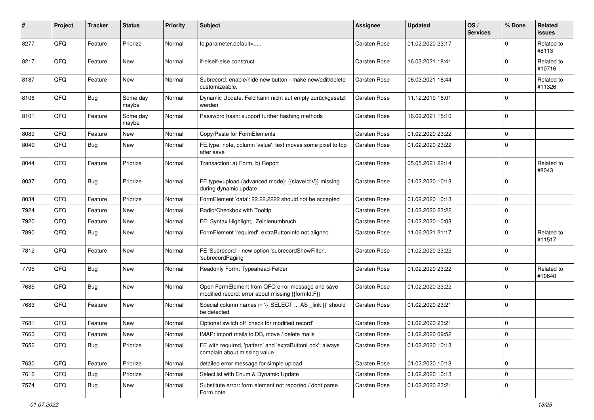| $\pmb{\#}$ | Project | <b>Tracker</b> | <b>Status</b>     | <b>Priority</b> | <b>Subject</b>                                                                                        | <b>Assignee</b>     | <b>Updated</b>   | OS/<br><b>Services</b> | % Done      | <b>Related</b><br>issues |
|------------|---------|----------------|-------------------|-----------------|-------------------------------------------------------------------------------------------------------|---------------------|------------------|------------------------|-------------|--------------------------|
| 8277       | QFQ     | Feature        | Priorize          | Normal          | fe.parameter.default=                                                                                 | <b>Carsten Rose</b> | 01.02.2020 23:17 |                        | $\Omega$    | Related to<br>#8113      |
| 8217       | QFQ     | Feature        | New               | Normal          | if-elseif-else construct                                                                              | <b>Carsten Rose</b> | 16.03.2021 18:41 |                        | $\Omega$    | Related to<br>#10716     |
| 8187       | QFQ     | Feature        | New               | Normal          | Subrecord: enable/hide new button - make new/edit/delete<br>customizeable.                            | Carsten Rose        | 06.03.2021 18:44 |                        | $\mathbf 0$ | Related to<br>#11326     |
| 8106       | QFQ     | <b>Bug</b>     | Some day<br>maybe | Normal          | Dynamic Update: Feld kann nicht auf empty zurückgesetzt<br>werden                                     | Carsten Rose        | 11.12.2019 16:01 |                        | $\Omega$    |                          |
| 8101       | QFQ     | Feature        | Some day<br>maybe | Normal          | Password hash: support further hashing methods                                                        | Carsten Rose        | 16.09.2021 15:10 |                        | $\Omega$    |                          |
| 8089       | QFQ     | Feature        | New               | Normal          | Copy/Paste for FormElements                                                                           | Carsten Rose        | 01.02.2020 23:22 |                        | 0           |                          |
| 8049       | QFQ     | <b>Bug</b>     | New               | Normal          | FE.type=note, column 'value': text moves some pixel to top<br>after save                              | <b>Carsten Rose</b> | 01.02.2020 23:22 |                        | $\Omega$    |                          |
| 8044       | QFQ     | Feature        | Priorize          | Normal          | Transaction: a) Form, b) Report                                                                       | <b>Carsten Rose</b> | 05.05.2021 22:14 |                        | $\mathbf 0$ | Related to<br>#8043      |
| 8037       | QFQ     | <b>Bug</b>     | Priorize          | Normal          | FE.type=upload (advanced mode): {{slaveld:V}} missing<br>during dynamic update                        | Carsten Rose        | 01.02.2020 10:13 |                        | $\Omega$    |                          |
| 8034       | QFQ     | Feature        | Priorize          | Normal          | FormElement 'data': 22.22.2222 should not be accepted                                                 | <b>Carsten Rose</b> | 01.02.2020 10:13 |                        | 0           |                          |
| 7924       | QFQ     | Feature        | New               | Normal          | Radio/Checkbox with Tooltip                                                                           | <b>Carsten Rose</b> | 01.02.2020 23:22 |                        | $\Omega$    |                          |
| 7920       | QFQ     | Feature        | New               | Normal          | FE: Syntax Highlight, Zeinlenumbruch                                                                  | <b>Carsten Rose</b> | 01.02.2020 10:03 |                        | $\mathbf 0$ |                          |
| 7890       | QFQ     | <b>Bug</b>     | New               | Normal          | FormElement 'required': extraButtonInfo not aligned                                                   | Carsten Rose        | 11.06.2021 21:17 |                        | $\Omega$    | Related to<br>#11517     |
| 7812       | QFQ     | Feature        | <b>New</b>        | Normal          | FE 'Subrecord' - new option 'subrecordShowFilter',<br>'subrecordPaging'                               | <b>Carsten Rose</b> | 01.02.2020 23:22 |                        | $\Omega$    |                          |
| 7795       | QFQ     | <b>Bug</b>     | New               | Normal          | Readonly Form: Typeahead-Felder                                                                       | Carsten Rose        | 01.02.2020 23:22 |                        | $\Omega$    | Related to<br>#10640     |
| 7685       | QFQ     | <b>Bug</b>     | <b>New</b>        | Normal          | Open FormElement from QFQ error message and save<br>modified record: error about missing {{formId:F}} | Carsten Rose        | 01.02.2020 23:22 |                        | $\Omega$    |                          |
| 7683       | QFQ     | Feature        | New               | Normal          | Special column names in '{{ SELECT  AS _link }}' should<br>be detected                                | Carsten Rose        | 01.02.2020 23:21 |                        | 0           |                          |
| 7681       | QFQ     | Feature        | New               | Normal          | Optional switch off 'check for modified record'                                                       | <b>Carsten Rose</b> | 01.02.2020 23:21 |                        | $\mathbf 0$ |                          |
| 7660       | QFQ     | Feature        | New               | Normal          | IMAP: import mails to DB, move / delete mails                                                         | <b>Carsten Rose</b> | 01.02.2020 09:52 |                        | 0           |                          |
| 7656       | QFQ     | Bug            | Priorize          | Normal          | FE with required, 'pattern' and 'extraButtonLock': always<br>complain about missing value             | Carsten Rose        | 01.02.2020 10:13 |                        | $\mathbf 0$ |                          |
| 7630       | QFQ     | Feature        | Priorize          | Normal          | detailed error message for simple upload                                                              | Carsten Rose        | 01.02.2020 10:13 |                        | 0           |                          |
| 7616       | QFQ     | Bug            | Priorize          | Normal          | Selectlist with Enum & Dynamic Update                                                                 | Carsten Rose        | 01.02.2020 10:13 |                        | 0           |                          |
| 7574       | QFQ     | <b>Bug</b>     | New               | Normal          | Substitute error: form element not reported / dont parse<br>Form.note                                 | Carsten Rose        | 01.02.2020 23:21 |                        | 0           |                          |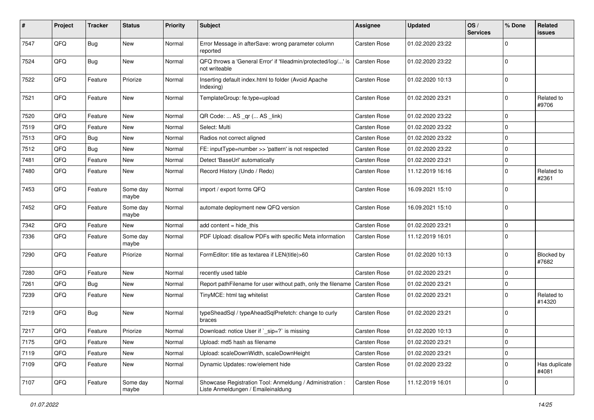| #    | Project | <b>Tracker</b> | <b>Status</b>     | <b>Priority</b> | Subject                                                                                        | <b>Assignee</b>     | <b>Updated</b>   | OS/<br><b>Services</b> | % Done      | Related<br>issues          |
|------|---------|----------------|-------------------|-----------------|------------------------------------------------------------------------------------------------|---------------------|------------------|------------------------|-------------|----------------------------|
| 7547 | QFQ     | <b>Bug</b>     | <b>New</b>        | Normal          | Error Message in afterSave: wrong parameter column<br>reported                                 | Carsten Rose        | 01.02.2020 23:22 |                        | $\Omega$    |                            |
| 7524 | QFQ     | <b>Bug</b>     | New               | Normal          | QFQ throws a 'General Error' if 'fileadmin/protected/log/' is<br>not writeable                 | <b>Carsten Rose</b> | 01.02.2020 23:22 |                        | $\Omega$    |                            |
| 7522 | QFQ     | Feature        | Priorize          | Normal          | Inserting default index.html to folder (Avoid Apache<br>Indexing)                              | Carsten Rose        | 01.02.2020 10:13 |                        | $\Omega$    |                            |
| 7521 | QFQ     | Feature        | New               | Normal          | TemplateGroup: fe.type=upload                                                                  | Carsten Rose        | 01.02.2020 23:21 |                        | 0           | Related to<br>#9706        |
| 7520 | QFQ     | Feature        | New               | Normal          | QR Code:  AS _qr ( AS _link)                                                                   | Carsten Rose        | 01.02.2020 23:22 |                        | $\mathbf 0$ |                            |
| 7519 | QFQ     | Feature        | New               | Normal          | Select: Multi                                                                                  | Carsten Rose        | 01.02.2020 23:22 |                        | 0           |                            |
| 7513 | QFQ     | <b>Bug</b>     | New               | Normal          | Radios not correct aligned                                                                     | Carsten Rose        | 01.02.2020 23:22 |                        | $\mathbf 0$ |                            |
| 7512 | QFQ     | Bug            | New               | Normal          | FE: inputType=number >> 'pattern' is not respected                                             | <b>Carsten Rose</b> | 01.02.2020 23:22 |                        | $\Omega$    |                            |
| 7481 | QFQ     | Feature        | New               | Normal          | Detect 'BaseUrl' automatically                                                                 | Carsten Rose        | 01.02.2020 23:21 |                        | 0           |                            |
| 7480 | QFQ     | Feature        | New               | Normal          | Record History (Undo / Redo)                                                                   | Carsten Rose        | 11.12.2019 16:16 |                        | $\mathbf 0$ | Related to<br>#2361        |
| 7453 | QFQ     | Feature        | Some day<br>maybe | Normal          | import / export forms QFQ                                                                      | Carsten Rose        | 16.09.2021 15:10 |                        | $\Omega$    |                            |
| 7452 | QFQ     | Feature        | Some day<br>maybe | Normal          | automate deployment new QFQ version                                                            | Carsten Rose        | 16.09.2021 15:10 |                        | $\mathbf 0$ |                            |
| 7342 | QFQ     | Feature        | <b>New</b>        | Normal          | add content = hide_this                                                                        | Carsten Rose        | 01.02.2020 23:21 |                        | 0           |                            |
| 7336 | QFQ     | Feature        | Some day<br>maybe | Normal          | PDF Upload: disallow PDFs with specific Meta information                                       | Carsten Rose        | 11.12.2019 16:01 |                        | $\Omega$    |                            |
| 7290 | QFQ     | Feature        | Priorize          | Normal          | FormEditor: title as textarea if LEN(title)>60                                                 | Carsten Rose        | 01.02.2020 10:13 |                        | $\mathbf 0$ | <b>Blocked by</b><br>#7682 |
| 7280 | QFQ     | Feature        | New               | Normal          | recently used table                                                                            | Carsten Rose        | 01.02.2020 23:21 |                        | $\mathbf 0$ |                            |
| 7261 | QFQ     | <b>Bug</b>     | New               | Normal          | Report pathFilename for user without path, only the filename                                   | Carsten Rose        | 01.02.2020 23:21 |                        | 0           |                            |
| 7239 | QFQ     | Feature        | New               | Normal          | TinyMCE: html tag whitelist                                                                    | Carsten Rose        | 01.02.2020 23:21 |                        | $\Omega$    | Related to<br>#14320       |
| 7219 | QFQ     | Bug            | New               | Normal          | typeSheadSql / typeAheadSqlPrefetch: change to curly<br>braces                                 | Carsten Rose        | 01.02.2020 23:21 |                        | $\Omega$    |                            |
| 7217 | QFQ     | Feature        | Priorize          | Normal          | Download: notice User if `_sip=?` is missing                                                   | Carsten Rose        | 01.02.2020 10:13 |                        | $\mathbf 0$ |                            |
| 7175 | QFQ     | Feature        | New               | Normal          | Upload: md5 hash as filename                                                                   | Carsten Rose        | 01.02.2020 23:21 |                        | $\mathbf 0$ |                            |
| 7119 | QFQ     | Feature        | New               | Normal          | Upload: scaleDownWidth, scaleDownHeight                                                        | Carsten Rose        | 01.02.2020 23:21 |                        | $\mathbf 0$ |                            |
| 7109 | QFQ     | Feature        | New               | Normal          | Dynamic Updates: row/element hide                                                              | Carsten Rose        | 01.02.2020 23:22 |                        | $\mathbf 0$ | Has duplicate<br>#4081     |
| 7107 | QFQ     | Feature        | Some day<br>maybe | Normal          | Showcase Registration Tool: Anmeldung / Administration :<br>Liste Anmeldungen / Emaileinaldung | Carsten Rose        | 11.12.2019 16:01 |                        | 0           |                            |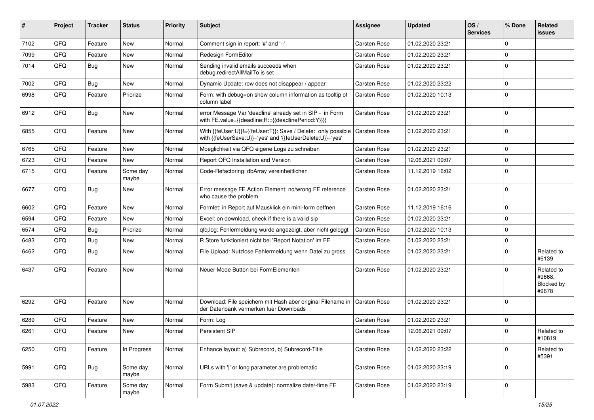| #    | Project | <b>Tracker</b> | <b>Status</b>     | <b>Priority</b> | <b>Subject</b>                                                                                                             | <b>Assignee</b>     | <b>Updated</b>   | OS/<br><b>Services</b> | % Done      | Related<br><b>issues</b>                           |
|------|---------|----------------|-------------------|-----------------|----------------------------------------------------------------------------------------------------------------------------|---------------------|------------------|------------------------|-------------|----------------------------------------------------|
| 7102 | QFQ     | Feature        | <b>New</b>        | Normal          | Comment sign in report: '#' and '--'                                                                                       | <b>Carsten Rose</b> | 01.02.2020 23:21 |                        | $\Omega$    |                                                    |
| 7099 | QFQ     | Feature        | New               | Normal          | Redesign FormEditor                                                                                                        | Carsten Rose        | 01.02.2020 23:21 |                        | $\mathbf 0$ |                                                    |
| 7014 | QFQ     | Bug            | New               | Normal          | Sending invalid emails succeeds when<br>debug.redirectAllMailTo is set                                                     | Carsten Rose        | 01.02.2020 23:21 |                        | $\mathbf 0$ |                                                    |
| 7002 | QFQ     | <b>Bug</b>     | New               | Normal          | Dynamic Update: row does not disappear / appear                                                                            | <b>Carsten Rose</b> | 01.02.2020 23:22 |                        | $\mathbf 0$ |                                                    |
| 6998 | QFQ     | Feature        | Priorize          | Normal          | Form: with debug=on show column information as tooltip of<br>column label                                                  | Carsten Rose        | 01.02.2020 10:13 |                        | $\mathbf 0$ |                                                    |
| 6912 | QFQ     | Bug            | New               | Normal          | error Message Var 'deadline' already set in SIP - in Form<br>with FE.value={{deadline:R:::{{deadlinePeriod:Y}}}}           | <b>Carsten Rose</b> | 01.02.2020 23:21 |                        | $\Omega$    |                                                    |
| 6855 | QFQ     | Feature        | New               | Normal          | With {{feUser:U}}!={{feUser:T}}: Save / Delete: only possible<br>with {{feUserSave:U}}='yes' and '{{feUserDelete:U}}='yes' | Carsten Rose        | 01.02.2020 23:21 |                        | $\mathbf 0$ |                                                    |
| 6765 | QFQ     | Feature        | <b>New</b>        | Normal          | Moeglichkeit via QFQ eigene Logs zu schreiben                                                                              | <b>Carsten Rose</b> | 01.02.2020 23:21 |                        | $\mathbf 0$ |                                                    |
| 6723 | QFQ     | Feature        | New               | Normal          | Report QFQ Installation and Version                                                                                        | <b>Carsten Rose</b> | 12.06.2021 09:07 |                        | $\pmb{0}$   |                                                    |
| 6715 | QFQ     | Feature        | Some day<br>maybe | Normal          | Code-Refactoring: dbArray vereinheitlichen                                                                                 | <b>Carsten Rose</b> | 11.12.2019 16:02 |                        | $\Omega$    |                                                    |
| 6677 | QFQ     | <b>Bug</b>     | New               | Normal          | Error message FE Action Element: no/wrong FE reference<br>who cause the problem.                                           | Carsten Rose        | 01.02.2020 23:21 |                        | $\mathbf 0$ |                                                    |
| 6602 | QFQ     | Feature        | New               | Normal          | Formlet: in Report auf Mausklick ein mini-form oeffnen                                                                     | <b>Carsten Rose</b> | 11.12.2019 16:16 |                        | $\mathbf 0$ |                                                    |
| 6594 | QFQ     | Feature        | New               | Normal          | Excel: on download, check if there is a valid sip                                                                          | <b>Carsten Rose</b> | 01.02.2020 23:21 |                        | $\mathbf 0$ |                                                    |
| 6574 | QFQ     | Bug            | Priorize          | Normal          | qfq.log: Fehlermeldung wurde angezeigt, aber nicht geloggt                                                                 | <b>Carsten Rose</b> | 01.02.2020 10:13 |                        | $\mathbf 0$ |                                                    |
| 6483 | QFQ     | Bug            | New               | Normal          | R Store funktioniert nicht bei 'Report Notation' im FE                                                                     | Carsten Rose        | 01.02.2020 23:21 |                        | $\pmb{0}$   |                                                    |
| 6462 | QFQ     | Bug            | <b>New</b>        | Normal          | File Upload: Nutzlose Fehlermeldung wenn Datei zu gross                                                                    | Carsten Rose        | 01.02.2020 23:21 |                        | $\mathbf 0$ | Related to<br>#6139                                |
| 6437 | QFQ     | Feature        | New               | Normal          | Neuer Mode Button bei FormElementen                                                                                        | <b>Carsten Rose</b> | 01.02.2020 23:21 |                        | $\Omega$    | Related to<br>#9668,<br><b>Blocked by</b><br>#9678 |
| 6292 | QFQ     | Feature        | New               | Normal          | Download: File speichern mit Hash aber original Filename in   Carsten Rose<br>der Datenbank vermerken fuer Downloads       |                     | 01.02.2020 23:21 |                        | $\mathbf 0$ |                                                    |
| 6289 | QFQ     | Feature        | <b>New</b>        | Normal          | Form: Log                                                                                                                  | <b>Carsten Rose</b> | 01.02.2020 23:21 |                        | $\mathbf 0$ |                                                    |
| 6261 | QFQ     | Feature        | New               | Normal          | Persistent SIP                                                                                                             | Carsten Rose        | 12.06.2021 09:07 |                        | $\mathbf 0$ | Related to<br>#10819                               |
| 6250 | QFQ     | Feature        | In Progress       | Normal          | Enhance layout: a) Subrecord, b) Subrecord-Title                                                                           | Carsten Rose        | 01.02.2020 23:22 |                        | 0           | Related to<br>#5391                                |
| 5991 | QFQ     | <b>Bug</b>     | Some day<br>maybe | Normal          | URLs with ' ' or long parameter are problematic                                                                            | Carsten Rose        | 01.02.2020 23:19 |                        | 0           |                                                    |
| 5983 | QFO     | Feature        | Some day<br>maybe | Normal          | Form Submit (save & update): normalize date/-time FE                                                                       | Carsten Rose        | 01.02.2020 23:19 |                        | $\mathbf 0$ |                                                    |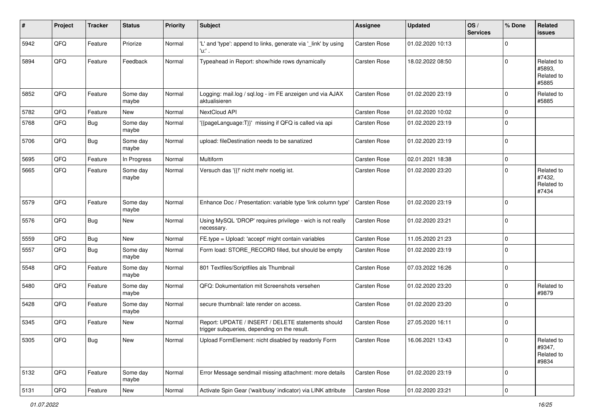| #    | Project        | <b>Tracker</b> | <b>Status</b>     | <b>Priority</b> | <b>Subject</b>                                                                                     | <b>Assignee</b>     | <b>Updated</b>   | OS/<br><b>Services</b> | % Done      | Related<br><b>issues</b>                    |
|------|----------------|----------------|-------------------|-----------------|----------------------------------------------------------------------------------------------------|---------------------|------------------|------------------------|-------------|---------------------------------------------|
| 5942 | QFQ            | Feature        | Priorize          | Normal          | 'L' and 'type': append to links, generate via '_link' by using<br>'u:' .                           | Carsten Rose        | 01.02.2020 10:13 |                        | $\Omega$    |                                             |
| 5894 | QFQ            | Feature        | Feedback          | Normal          | Typeahead in Report: show/hide rows dynamically                                                    | Carsten Rose        | 18.02.2022 08:50 |                        | $\mathbf 0$ | Related to<br>#5893,<br>Related to<br>#5885 |
| 5852 | QFQ            | Feature        | Some day<br>maybe | Normal          | Logging: mail.log / sql.log - im FE anzeigen und via AJAX<br>aktualisieren                         | Carsten Rose        | 01.02.2020 23:19 |                        | $\mathbf 0$ | Related to<br>#5885                         |
| 5782 | QFQ            | Feature        | New               | Normal          | NextCloud API                                                                                      | <b>Carsten Rose</b> | 01.02.2020 10:02 |                        | $\mathbf 0$ |                                             |
| 5768 | QFQ            | Bug            | Some day<br>maybe | Normal          | '{{pageLanguage:T}}' missing if QFQ is called via api                                              | <b>Carsten Rose</b> | 01.02.2020 23:19 |                        | $\mathbf 0$ |                                             |
| 5706 | QFQ            | <b>Bug</b>     | Some day<br>maybe | Normal          | upload: fileDestination needs to be sanatized                                                      | Carsten Rose        | 01.02.2020 23:19 |                        | $\mathbf 0$ |                                             |
| 5695 | QFQ            | Feature        | In Progress       | Normal          | Multiform                                                                                          | <b>Carsten Rose</b> | 02.01.2021 18:38 |                        | $\mathbf 0$ |                                             |
| 5665 | QFQ            | Feature        | Some day<br>maybe | Normal          | Versuch das '{{!' nicht mehr noetig ist.                                                           | <b>Carsten Rose</b> | 01.02.2020 23:20 |                        | $\Omega$    | Related to<br>#7432.<br>Related to<br>#7434 |
| 5579 | QFQ            | Feature        | Some day<br>maybe | Normal          | Enhance Doc / Presentation: variable type 'link column type'                                       | <b>Carsten Rose</b> | 01.02.2020 23:19 |                        | $\mathbf 0$ |                                             |
| 5576 | QFQ            | <b>Bug</b>     | New               | Normal          | Using MySQL 'DROP' requires privilege - wich is not really<br>necessary.                           | Carsten Rose        | 01.02.2020 23:21 |                        | $\mathbf 0$ |                                             |
| 5559 | QFQ            | Bug            | <b>New</b>        | Normal          | FE.type = Upload: 'accept' might contain variables                                                 | Carsten Rose        | 11.05.2020 21:23 |                        | $\pmb{0}$   |                                             |
| 5557 | QFQ            | Bug            | Some day<br>maybe | Normal          | Form load: STORE_RECORD filled, but should be empty                                                | Carsten Rose        | 01.02.2020 23:19 |                        | $\mathbf 0$ |                                             |
| 5548 | QFQ            | Feature        | Some day<br>maybe | Normal          | 801 Textfiles/Scriptfiles als Thumbnail                                                            | <b>Carsten Rose</b> | 07.03.2022 16:26 |                        | $\mathbf 0$ |                                             |
| 5480 | QFQ            | Feature        | Some day<br>maybe | Normal          | QFQ: Dokumentation mit Screenshots versehen                                                        | <b>Carsten Rose</b> | 01.02.2020 23:20 |                        | $\mathbf 0$ | Related to<br>#9879                         |
| 5428 | QFQ            | Feature        | Some day<br>maybe | Normal          | secure thumbnail: late render on access.                                                           | <b>Carsten Rose</b> | 01.02.2020 23:20 |                        | $\mathbf 0$ |                                             |
| 5345 | QFQ            | Feature        | New               | Normal          | Report: UPDATE / INSERT / DELETE statements should<br>trigger subqueries, depending on the result. | <b>Carsten Rose</b> | 27.05.2020 16:11 |                        | $\mathbf 0$ |                                             |
| 5305 | QFO            | <b>Bug</b>     | New               | Normal          | Upload FormElement: nicht disabled by readonly Form                                                | Carsten Rose        | 16.06.2021 13:43 |                        | 0           | Related to<br>#9347,<br>Related to<br>#9834 |
| 5132 | QFQ            | Feature        | Some day<br>maybe | Normal          | Error Message sendmail missing attachment: more details                                            | Carsten Rose        | 01.02.2020 23:19 |                        | $\mathbf 0$ |                                             |
| 5131 | $\mathsf{QFQ}$ | Feature        | New               | Normal          | Activate Spin Gear ('wait/busy' indicator) via LINK attribute                                      | Carsten Rose        | 01.02.2020 23:21 |                        | 0           |                                             |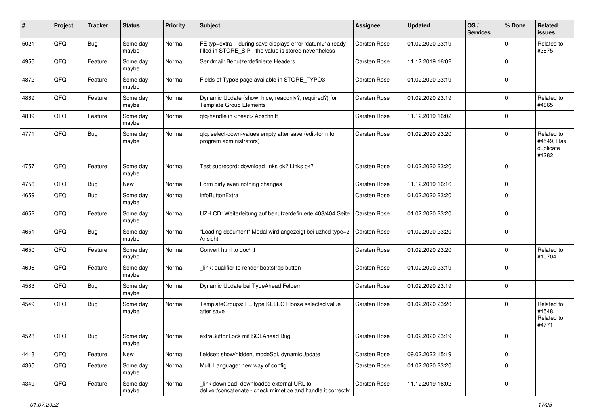| #    | Project        | <b>Tracker</b> | <b>Status</b>     | <b>Priority</b> | <b>Subject</b>                                                                                                       | <b>Assignee</b>     | <b>Updated</b>   | OS/<br><b>Services</b> | % Done      | Related<br><b>issues</b>                       |
|------|----------------|----------------|-------------------|-----------------|----------------------------------------------------------------------------------------------------------------------|---------------------|------------------|------------------------|-------------|------------------------------------------------|
| 5021 | QFQ            | <b>Bug</b>     | Some day<br>maybe | Normal          | FE.typ=extra - during save displays error 'datum2' already<br>filled in STORE_SIP - the value is stored nevertheless | Carsten Rose        | 01.02.2020 23:19 |                        | $\Omega$    | Related to<br>#3875                            |
| 4956 | QFQ            | Feature        | Some day<br>maybe | Normal          | Sendmail: Benutzerdefinierte Headers                                                                                 | <b>Carsten Rose</b> | 11.12.2019 16:02 |                        | $\mathbf 0$ |                                                |
| 4872 | QFQ            | Feature        | Some day<br>maybe | Normal          | Fields of Typo3 page available in STORE_TYPO3                                                                        | <b>Carsten Rose</b> | 01.02.2020 23:19 |                        | $\mathbf 0$ |                                                |
| 4869 | QFQ            | Feature        | Some day<br>maybe | Normal          | Dynamic Update (show, hide, readonly?, required?) for<br><b>Template Group Elements</b>                              | <b>Carsten Rose</b> | 01.02.2020 23:19 |                        | $\mathbf 0$ | Related to<br>#4865                            |
| 4839 | QFQ            | Feature        | Some day<br>maybe | Normal          | qfq-handle in <head> Abschnitt</head>                                                                                | <b>Carsten Rose</b> | 11.12.2019 16:02 |                        | $\mathbf 0$ |                                                |
| 4771 | QFQ            | <b>Bug</b>     | Some day<br>maybe | Normal          | qfq: select-down-values empty after save (edit-form for<br>program administrators)                                   | Carsten Rose        | 01.02.2020 23:20 |                        | $\Omega$    | Related to<br>#4549, Has<br>duplicate<br>#4282 |
| 4757 | QFQ            | Feature        | Some day<br>maybe | Normal          | Test subrecord: download links ok? Links ok?                                                                         | <b>Carsten Rose</b> | 01.02.2020 23:20 |                        | $\mathbf 0$ |                                                |
| 4756 | QFQ            | <b>Bug</b>     | New               | Normal          | Form dirty even nothing changes                                                                                      | <b>Carsten Rose</b> | 11.12.2019 16:16 |                        | $\mathbf 0$ |                                                |
| 4659 | QFQ            | <b>Bug</b>     | Some day<br>maybe | Normal          | infoButtonExtra                                                                                                      | Carsten Rose        | 01.02.2020 23:20 |                        | $\Omega$    |                                                |
| 4652 | QFQ            | Feature        | Some day<br>maybe | Normal          | UZH CD: Weiterleitung auf benutzerdefinierte 403/404 Seite                                                           | Carsten Rose        | 01.02.2020 23:20 |                        | $\mathbf 0$ |                                                |
| 4651 | QFQ            | <b>Bug</b>     | Some day<br>maybe | Normal          | 'Loading document" Modal wird angezeigt bei uzhcd type=2<br>Ansicht                                                  | <b>Carsten Rose</b> | 01.02.2020 23:20 |                        | $\Omega$    |                                                |
| 4650 | QFQ            | Feature        | Some day<br>maybe | Normal          | Convert html to doc/rtf                                                                                              | Carsten Rose        | 01.02.2020 23:20 |                        | $\mathbf 0$ | Related to<br>#10704                           |
| 4606 | QFQ            | Feature        | Some day<br>maybe | Normal          | link: qualifier to render bootstrap button                                                                           | <b>Carsten Rose</b> | 01.02.2020 23:19 |                        | $\Omega$    |                                                |
| 4583 | QFQ            | Bug            | Some day<br>maybe | Normal          | Dynamic Update bei TypeAhead Feldern                                                                                 | Carsten Rose        | 01.02.2020 23:19 |                        | $\mathbf 0$ |                                                |
| 4549 | QFQ            | <b>Bug</b>     | Some day<br>maybe | Normal          | TemplateGroups: FE.type SELECT loose selected value<br>after save                                                    | Carsten Rose        | 01.02.2020 23:20 |                        | $\mathbf 0$ | Related to<br>#4548,<br>Related to<br>#4771    |
| 4528 | $\mathsf{QFQ}$ | Bug            | Some day<br>maybe | Normal          | extraButtonLock mit SQLAhead Bug                                                                                     | Carsten Rose        | 01.02.2020 23:19 |                        | $\mathbf 0$ |                                                |
| 4413 | QFQ            | Feature        | New               | Normal          | fieldset: show/hidden, modeSql, dynamicUpdate                                                                        | Carsten Rose        | 09.02.2022 15:19 |                        | $\mathbf 0$ |                                                |
| 4365 | QFQ            | Feature        | Some day<br>maybe | Normal          | Multi Language: new way of config                                                                                    | Carsten Rose        | 01.02.2020 23:20 |                        | $\mathbf 0$ |                                                |
| 4349 | QFQ            | Feature        | Some day<br>maybe | Normal          | link download: downloaded external URL to<br>deliver/concatenate - check mimetipe and handle it correctly            | Carsten Rose        | 11.12.2019 16:02 |                        | $\mathbf 0$ |                                                |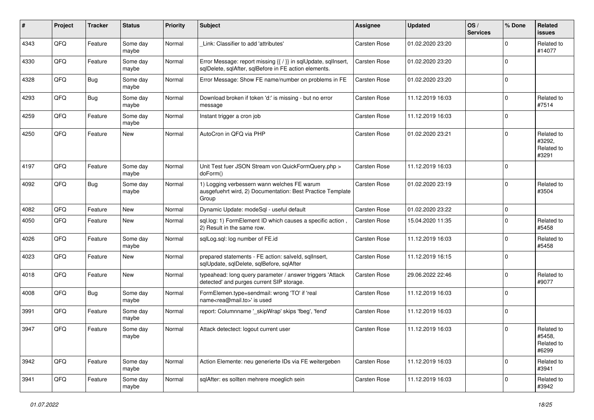| #    | Project | <b>Tracker</b> | <b>Status</b>     | <b>Priority</b> | Subject                                                                                                                 | <b>Assignee</b>     | <b>Updated</b>   | OS/<br><b>Services</b> | % Done      | Related<br><b>issues</b>                    |
|------|---------|----------------|-------------------|-----------------|-------------------------------------------------------------------------------------------------------------------------|---------------------|------------------|------------------------|-------------|---------------------------------------------|
| 4343 | QFQ     | Feature        | Some day<br>maybe | Normal          | Link: Classifier to add 'attributes'                                                                                    | <b>Carsten Rose</b> | 01.02.2020 23:20 |                        | $\mathbf 0$ | Related to<br>#14077                        |
| 4330 | QFQ     | Feature        | Some day<br>maybe | Normal          | Error Message: report missing {{ / }} in sqlUpdate, sqlInsert,<br>sqlDelete, sqlAfter, sqlBefore in FE action elements. | Carsten Rose        | 01.02.2020 23:20 |                        | 0           |                                             |
| 4328 | QFQ     | Bug            | Some day<br>maybe | Normal          | Error Message: Show FE name/number on problems in FE                                                                    | <b>Carsten Rose</b> | 01.02.2020 23:20 |                        | 0           |                                             |
| 4293 | QFQ     | Bug            | Some day<br>maybe | Normal          | Download broken if token 'd:' is missing - but no error<br>message                                                      | Carsten Rose        | 11.12.2019 16:03 |                        | 0           | Related to<br>#7514                         |
| 4259 | QFQ     | Feature        | Some day<br>maybe | Normal          | Instant trigger a cron job                                                                                              | Carsten Rose        | 11.12.2019 16:03 |                        | 0           |                                             |
| 4250 | QFQ     | Feature        | New               | Normal          | AutoCron in QFQ via PHP                                                                                                 | Carsten Rose        | 01.02.2020 23:21 |                        | 0           | Related to<br>#3292,<br>Related to<br>#3291 |
| 4197 | QFQ     | Feature        | Some day<br>maybe | Normal          | Unit Test fuer JSON Stream von QuickFormQuery.php ><br>doForm()                                                         | <b>Carsten Rose</b> | 11.12.2019 16:03 |                        | $\mathbf 0$ |                                             |
| 4092 | QFQ     | Bug            | Some day<br>maybe | Normal          | 1) Logging verbessern wann welches FE warum<br>ausgefuehrt wird, 2) Documentation: Best Practice Template<br>Group      | Carsten Rose        | 01.02.2020 23:19 |                        | 0           | Related to<br>#3504                         |
| 4082 | QFQ     | Feature        | <b>New</b>        | Normal          | Dynamic Update: modeSql - useful default                                                                                | Carsten Rose        | 01.02.2020 23:22 |                        | 0           |                                             |
| 4050 | QFQ     | Feature        | New               | Normal          | sql.log: 1) FormElement ID which causes a specific action,<br>2) Result in the same row.                                | <b>Carsten Rose</b> | 15.04.2020 11:35 |                        | 0           | Related to<br>#5458                         |
| 4026 | QFQ     | Feature        | Some day<br>maybe | Normal          | sqlLog.sql: log number of FE.id                                                                                         | <b>Carsten Rose</b> | 11.12.2019 16:03 |                        | $\Omega$    | Related to<br>#5458                         |
| 4023 | QFQ     | Feature        | New               | Normal          | prepared statements - FE action: salveld, sqllnsert,<br>sqlUpdate, sqlDelete, sqlBefore, sqlAfter                       | Carsten Rose        | 11.12.2019 16:15 |                        | 0           |                                             |
| 4018 | QFQ     | Feature        | New               | Normal          | typeahead: long query parameter / answer triggers 'Attack<br>detected' and purges current SIP storage.                  | <b>Carsten Rose</b> | 29.06.2022 22:46 |                        | $\mathbf 0$ | Related to<br>#9077                         |
| 4008 | QFQ     | Bug            | Some day<br>maybe | Normal          | FormElemen.type=sendmail: wrong 'TO' if 'real<br>name <rea@mail.to>' is used</rea@mail.to>                              | Carsten Rose        | 11.12.2019 16:03 |                        | $\Omega$    |                                             |
| 3991 | QFQ     | Feature        | Some day<br>maybe | Normal          | report: Columnname ' skipWrap' skips 'fbeg', 'fend'                                                                     | Carsten Rose        | 11.12.2019 16:03 |                        | 0           |                                             |
| 3947 | QFQ     | Feature        | Some day<br>maybe | Normal          | Attack detectect: logout current user                                                                                   | <b>Carsten Rose</b> | 11.12.2019 16:03 |                        | 0           | Related to<br>#5458,<br>Related to<br>#6299 |
| 3942 | QFQ     | Feature        | Some day<br>maybe | Normal          | Action Elemente: neu generierte IDs via FE weitergeben                                                                  | Carsten Rose        | 11.12.2019 16:03 |                        | 0           | Related to<br>#3941                         |
| 3941 | QFQ     | Feature        | Some day<br>maybe | Normal          | sqlAfter: es sollten mehrere moeglich sein                                                                              | Carsten Rose        | 11.12.2019 16:03 |                        | 0           | Related to<br>#3942                         |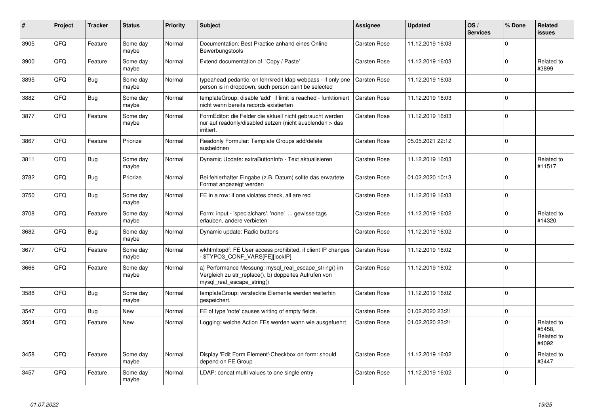| #    | Project | <b>Tracker</b> | <b>Status</b>     | <b>Priority</b> | <b>Subject</b>                                                                                                                               | <b>Assignee</b>     | <b>Updated</b>   | OS/<br><b>Services</b> | % Done      | Related<br><b>issues</b>                    |
|------|---------|----------------|-------------------|-----------------|----------------------------------------------------------------------------------------------------------------------------------------------|---------------------|------------------|------------------------|-------------|---------------------------------------------|
| 3905 | QFQ     | Feature        | Some day<br>maybe | Normal          | Documentation: Best Practice anhand eines Online<br>Bewerbungstools                                                                          | <b>Carsten Rose</b> | 11.12.2019 16:03 |                        | $\Omega$    |                                             |
| 3900 | QFQ     | Feature        | Some day<br>maybe | Normal          | Extend documentation of 'Copy / Paste'                                                                                                       | Carsten Rose        | 11.12.2019 16:03 |                        | $\mathbf 0$ | Related to<br>#3899                         |
| 3895 | QFQ     | <b>Bug</b>     | Some day<br>maybe | Normal          | typeahead pedantic: on lehrkredit Idap webpass - if only one<br>person is in dropdown, such person can't be selected                         | Carsten Rose        | 11.12.2019 16:03 |                        | $\Omega$    |                                             |
| 3882 | QFQ     | Bug            | Some day<br>maybe | Normal          | templateGroup: disable 'add' if limit is reached - funktioniert<br>nicht wenn bereits records existierten                                    | Carsten Rose        | 11.12.2019 16:03 |                        | $\Omega$    |                                             |
| 3877 | QFQ     | Feature        | Some day<br>maybe | Normal          | FormEditor: die Felder die aktuell nicht gebraucht werden<br>nur auf readonly/disabled setzen (nicht ausblenden > das<br>irritiert.          | Carsten Rose        | 11.12.2019 16:03 |                        | $\Omega$    |                                             |
| 3867 | QFQ     | Feature        | Priorize          | Normal          | Readonly Formular: Template Groups add/delete<br>ausbeldnen                                                                                  | <b>Carsten Rose</b> | 05.05.2021 22:12 |                        | $\Omega$    |                                             |
| 3811 | QFQ     | Bug            | Some day<br>maybe | Normal          | Dynamic Update: extraButtonInfo - Text aktualisieren                                                                                         | Carsten Rose        | 11.12.2019 16:03 |                        | $\mathbf 0$ | Related to<br>#11517                        |
| 3782 | QFQ     | <b>Bug</b>     | Priorize          | Normal          | Bei fehlerhafter Eingabe (z.B. Datum) sollte das erwartete<br>Format angezeigt werden                                                        | Carsten Rose        | 01.02.2020 10:13 |                        | $\Omega$    |                                             |
| 3750 | QFQ     | <b>Bug</b>     | Some day<br>maybe | Normal          | FE in a row: if one violates check, all are red                                                                                              | Carsten Rose        | 11.12.2019 16:03 |                        | $\mathbf 0$ |                                             |
| 3708 | QFQ     | Feature        | Some day<br>maybe | Normal          | Form: input - 'specialchars', 'none'  gewisse tags<br>erlauben, andere verbieten                                                             | Carsten Rose        | 11.12.2019 16:02 |                        | $\Omega$    | Related to<br>#14320                        |
| 3682 | QFQ     | <b>Bug</b>     | Some day<br>maybe | Normal          | Dynamic update: Radio buttons                                                                                                                | Carsten Rose        | 11.12.2019 16:02 |                        | $\Omega$    |                                             |
| 3677 | QFQ     | Feature        | Some day<br>maybe | Normal          | wkhtmltopdf: FE User access prohibited, if client IP changes<br>\$TYPO3_CONF_VARS[FE][lockIP]                                                | Carsten Rose        | 11.12.2019 16:02 |                        | $\Omega$    |                                             |
| 3666 | QFQ     | Feature        | Some day<br>maybe | Normal          | a) Performance Messung: mysql_real_escape_string() im<br>Vergleich zu str_replace(), b) doppeltes Aufrufen von<br>mysql real escape string() | <b>Carsten Rose</b> | 11.12.2019 16:02 |                        | $\Omega$    |                                             |
| 3588 | QFQ     | <b>Bug</b>     | Some day<br>maybe | Normal          | templateGroup: versteckte Elemente werden weiterhin<br>gespeichert.                                                                          | Carsten Rose        | 11.12.2019 16:02 |                        | $\mathbf 0$ |                                             |
| 3547 | QFQ     | <b>Bug</b>     | <b>New</b>        | Normal          | FE of type 'note' causes writing of empty fields.                                                                                            | <b>Carsten Rose</b> | 01.02.2020 23:21 |                        | $\Omega$    |                                             |
| 3504 | QFQ     | Feature        | <b>New</b>        | Normal          | Logging: welche Action FEs werden wann wie ausgefuehrt                                                                                       | <b>Carsten Rose</b> | 01.02.2020 23:21 |                        | $\Omega$    | Related to<br>#5458,<br>Related to<br>#4092 |
| 3458 | QFQ     | Feature        | Some day<br>maybe | Normal          | Display 'Edit Form Element'-Checkbox on form: should<br>depend on FE Group                                                                   | Carsten Rose        | 11.12.2019 16:02 |                        | $\mathbf 0$ | Related to<br>#3447                         |
| 3457 | QFQ     | Feature        | Some day<br>maybe | Normal          | LDAP: concat multi values to one single entry                                                                                                | <b>Carsten Rose</b> | 11.12.2019 16:02 |                        | $\Omega$    |                                             |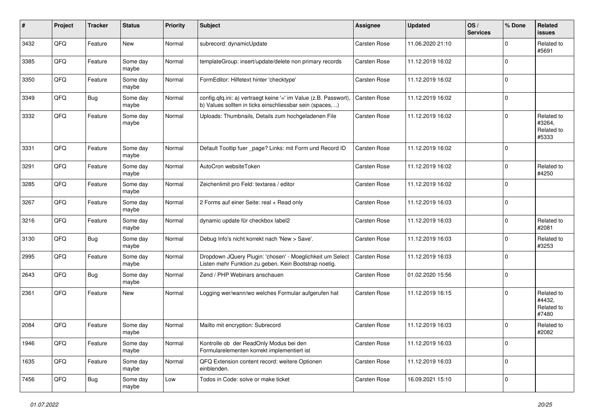| #    | Project | <b>Tracker</b> | <b>Status</b>     | <b>Priority</b> | <b>Subject</b>                                                                                                                | <b>Assignee</b>     | <b>Updated</b>   | OS/<br><b>Services</b> | % Done      | Related<br>issues                           |
|------|---------|----------------|-------------------|-----------------|-------------------------------------------------------------------------------------------------------------------------------|---------------------|------------------|------------------------|-------------|---------------------------------------------|
| 3432 | QFQ     | Feature        | New               | Normal          | subrecord: dynamicUpdate                                                                                                      | <b>Carsten Rose</b> | 11.06.2020 21:10 |                        | $\mathbf 0$ | Related to<br>#5691                         |
| 3385 | QFQ     | Feature        | Some day<br>maybe | Normal          | templateGroup: insert/update/delete non primary records                                                                       | <b>Carsten Rose</b> | 11.12.2019 16:02 |                        | $\Omega$    |                                             |
| 3350 | QFQ     | Feature        | Some day<br>maybe | Normal          | FormEditor: Hilfetext hinter 'checktype'                                                                                      | <b>Carsten Rose</b> | 11.12.2019 16:02 |                        | $\Omega$    |                                             |
| 3349 | QFQ     | <b>Bug</b>     | Some day<br>maybe | Normal          | config.qfq.ini: a) vertraegt keine '=' im Value (z.B. Passwort),<br>b) Values sollten in ticks einschliessbar sein (spaces, ) | Carsten Rose        | 11.12.2019 16:02 |                        | $\mathbf 0$ |                                             |
| 3332 | QFQ     | Feature        | Some day<br>maybe | Normal          | Uploads: Thumbnails, Details zum hochgeladenen File                                                                           | <b>Carsten Rose</b> | 11.12.2019 16:02 |                        | $\Omega$    | Related to<br>#3264,<br>Related to<br>#5333 |
| 3331 | QFQ     | Feature        | Some day<br>maybe | Normal          | Default Tooltip fuer _page? Links: mit Form und Record ID                                                                     | Carsten Rose        | 11.12.2019 16:02 |                        | $\mathbf 0$ |                                             |
| 3291 | QFQ     | Feature        | Some day<br>maybe | Normal          | AutoCron websiteToken                                                                                                         | <b>Carsten Rose</b> | 11.12.2019 16:02 |                        | $\Omega$    | Related to<br>#4250                         |
| 3285 | QFQ     | Feature        | Some day<br>maybe | Normal          | Zeichenlimit pro Feld: textarea / editor                                                                                      | Carsten Rose        | 11.12.2019 16:02 |                        | $\Omega$    |                                             |
| 3267 | QFQ     | Feature        | Some day<br>maybe | Normal          | 2 Forms auf einer Seite: real + Read only                                                                                     | Carsten Rose        | 11.12.2019 16:03 |                        | $\mathbf 0$ |                                             |
| 3216 | QFQ     | Feature        | Some day<br>maybe | Normal          | dynamic update für checkbox label2                                                                                            | Carsten Rose        | 11.12.2019 16:03 |                        | $\mathbf 0$ | Related to<br>#2081                         |
| 3130 | QFQ     | Bug            | Some day<br>maybe | Normal          | Debug Info's nicht korrekt nach 'New > Save'.                                                                                 | <b>Carsten Rose</b> | 11.12.2019 16:03 |                        | $\mathbf 0$ | Related to<br>#3253                         |
| 2995 | QFQ     | Feature        | Some day<br>maybe | Normal          | Dropdown JQuery Plugin: 'chosen' - Moeglichkeit um Select<br>Listen mehr Funktion zu geben. Kein Bootstrap noetig.            | Carsten Rose        | 11.12.2019 16:03 |                        | $\mathbf 0$ |                                             |
| 2643 | QFQ     | <b>Bug</b>     | Some day<br>maybe | Normal          | Zend / PHP Webinars anschauen                                                                                                 | <b>Carsten Rose</b> | 01.02.2020 15:56 |                        | $\mathbf 0$ |                                             |
| 2361 | QFQ     | Feature        | New               | Normal          | Logging wer/wann/wo welches Formular aufgerufen hat                                                                           | Carsten Rose        | 11.12.2019 16:15 |                        | $\Omega$    | Related to<br>#4432,<br>Related to<br>#7480 |
| 2084 | QFQ     | Feature        | Some day<br>maybe | Normal          | Mailto mit encryption: Subrecord                                                                                              | <b>Carsten Rose</b> | 11.12.2019 16:03 |                        | $\Omega$    | Related to<br>#2082                         |
| 1946 | QFQ     | Feature        | Some day<br>maybe | Normal          | Kontrolle ob der ReadOnly Modus bei den<br>Formularelementen korrekt implementiert ist                                        | Carsten Rose        | 11.12.2019 16:03 |                        | 0           |                                             |
| 1635 | QFQ     | Feature        | Some day<br>maybe | Normal          | QFQ Extension content record: weitere Optionen<br>einblenden.                                                                 | Carsten Rose        | 11.12.2019 16:03 |                        | $\mathbf 0$ |                                             |
| 7456 | QFQ     | <b>Bug</b>     | Some day<br>maybe | Low             | Todos in Code: solve or make ticket                                                                                           | Carsten Rose        | 16.09.2021 15:10 |                        | $\mathbf 0$ |                                             |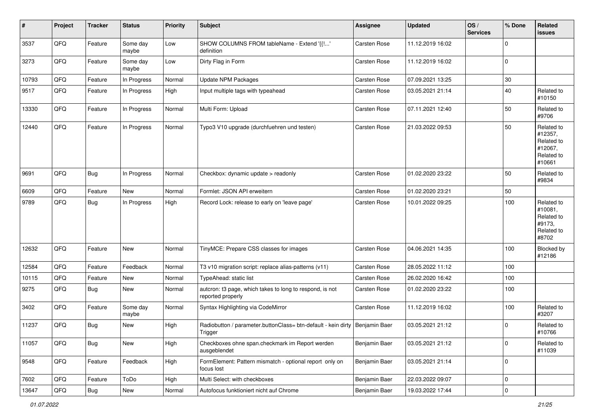| #     | Project        | <b>Tracker</b> | <b>Status</b>     | <b>Priority</b> | Subject                                                                                  | <b>Assignee</b>     | <b>Updated</b>   | OS/<br><b>Services</b> | % Done              | Related<br>issues                                                      |
|-------|----------------|----------------|-------------------|-----------------|------------------------------------------------------------------------------------------|---------------------|------------------|------------------------|---------------------|------------------------------------------------------------------------|
| 3537  | QFQ            | Feature        | Some day<br>maybe | Low             | SHOW COLUMNS FROM tableName - Extend '{{!'<br>definition                                 | Carsten Rose        | 11.12.2019 16:02 |                        | $\mathbf{0}$        |                                                                        |
| 3273  | QFQ            | Feature        | Some day<br>maybe | Low             | Dirty Flag in Form                                                                       | Carsten Rose        | 11.12.2019 16:02 |                        | $\mathbf 0$         |                                                                        |
| 10793 | QFQ            | Feature        | In Progress       | Normal          | Update NPM Packages                                                                      | <b>Carsten Rose</b> | 07.09.2021 13:25 |                        | 30                  |                                                                        |
| 9517  | QFQ            | Feature        | In Progress       | High            | Input multiple tags with typeahead                                                       | Carsten Rose        | 03.05.2021 21:14 |                        | 40                  | Related to<br>#10150                                                   |
| 13330 | QFQ            | Feature        | In Progress       | Normal          | Multi Form: Upload                                                                       | Carsten Rose        | 07.11.2021 12:40 |                        | 50                  | Related to<br>#9706                                                    |
| 12440 | QFQ            | Feature        | In Progress       | Normal          | Typo3 V10 upgrade (durchfuehren und testen)                                              | Carsten Rose        | 21.03.2022 09:53 |                        | 50                  | Related to<br>#12357,<br>Related to<br>#12067,<br>Related to<br>#10661 |
| 9691  | QFQ            | <b>Bug</b>     | In Progress       | Normal          | Checkbox: dynamic update > readonly                                                      | Carsten Rose        | 01.02.2020 23:22 |                        | 50                  | Related to<br>#9834                                                    |
| 6609  | QFQ            | Feature        | New               | Normal          | Formlet: JSON API erweitern                                                              | <b>Carsten Rose</b> | 01.02.2020 23:21 |                        | 50                  |                                                                        |
| 9789  | QFQ            | <b>Bug</b>     | In Progress       | High            | Record Lock: release to early on 'leave page'                                            | Carsten Rose        | 10.01.2022 09:25 |                        | 100                 | Related to<br>#10081,<br>Related to<br>#9173.<br>Related to<br>#8702   |
| 12632 | QFQ            | Feature        | <b>New</b>        | Normal          | TinyMCE: Prepare CSS classes for images                                                  | Carsten Rose        | 04.06.2021 14:35 |                        | 100                 | Blocked by<br>#12186                                                   |
| 12584 | QFQ            | Feature        | Feedback          | Normal          | T3 v10 migration script: replace alias-patterns (v11)                                    | <b>Carsten Rose</b> | 28.05.2022 11:12 |                        | 100                 |                                                                        |
| 10115 | QFQ            | Feature        | New               | Normal          | TypeAhead: static list                                                                   | Carsten Rose        | 26.02.2020 16:42 |                        | 100                 |                                                                        |
| 9275  | QFQ            | <b>Bug</b>     | <b>New</b>        | Normal          | autcron: t3 page, which takes to long to respond, is not<br>reported properly            | Carsten Rose        | 01.02.2020 23:22 |                        | 100                 |                                                                        |
| 3402  | QFQ            | Feature        | Some day<br>maybe | Normal          | Syntax Highlighting via CodeMirror                                                       | Carsten Rose        | 11.12.2019 16:02 |                        | 100                 | Related to<br>#3207                                                    |
| 11237 | QFQ            | <b>Bug</b>     | <b>New</b>        | High            | Radiobutton / parameter.buttonClass= btn-default - kein dirty   Benjamin Baer<br>Trigger |                     | 03.05.2021 21:12 |                        | 0                   | Related to<br>#10766                                                   |
| 11057 | QFG            | <b>Bug</b>     | New               | High            | Checkboxes ohne span.checkmark im Report werden<br>ausgeblendet                          | Benjamin Baer       | 03.05.2021 21:12 |                        | $\mathbf 0$         | Related to<br>#11039                                                   |
| 9548  | QFQ            | Feature        | Feedback          | High            | FormElement: Pattern mismatch - optional report only on<br>focus lost                    | Benjamin Baer       | 03.05.2021 21:14 |                        | 0                   |                                                                        |
| 7602  | QFQ            | Feature        | ToDo              | High            | Multi Select: with checkboxes                                                            | Benjamin Baer       | 22.03.2022 09:07 |                        | $\mathsf{O}\xspace$ |                                                                        |
| 13647 | $\mathsf{QFQ}$ | Bug            | New               | Normal          | Autofocus funktioniert nicht auf Chrome                                                  | Benjamin Baer       | 19.03.2022 17:44 |                        | $\mathsf{O}\xspace$ |                                                                        |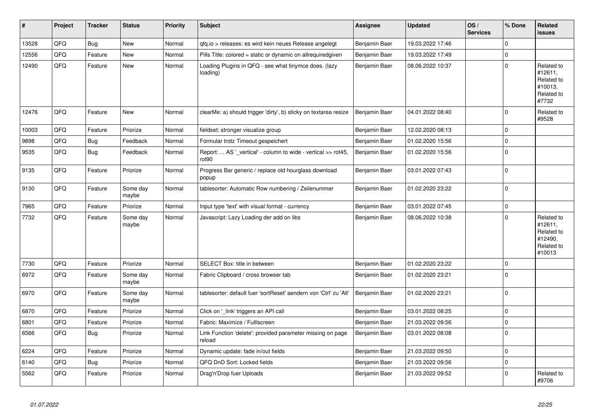| #     | Project | <b>Tracker</b> | <b>Status</b>     | <b>Priority</b> | <b>Subject</b>                                                                     | <b>Assignee</b> | <b>Updated</b>   | OS/<br><b>Services</b> | % Done         | Related<br><b>issues</b>                                               |
|-------|---------|----------------|-------------------|-----------------|------------------------------------------------------------------------------------|-----------------|------------------|------------------------|----------------|------------------------------------------------------------------------|
| 13528 | QFQ     | <b>Bug</b>     | <b>New</b>        | Normal          | gfg.io > releases: es wird kein neues Release angelegt                             | Benjamin Baer   | 19.03.2022 17:46 |                        | $\mathbf 0$    |                                                                        |
| 12556 | QFQ     | Feature        | New               | Normal          | Pills Title: colored = static or dynamic on allrequiredgiven                       | Benjamin Baer   | 19.03.2022 17:49 |                        | $\overline{0}$ |                                                                        |
| 12490 | QFQ     | Feature        | New               | Normal          | Loading Plugins in QFQ - see what tinymce does. (lazy<br>loading)                  | Benjamin Baer   | 08.06.2022 10:37 |                        | $\Omega$       | Related to<br>#12611,<br>Related to<br>#10013,<br>Related to<br>#7732  |
| 12476 | QFQ     | Feature        | <b>New</b>        | Normal          | clearMe: a) should trigger 'dirty', b) sticky on textarea resize                   | Benjamin Baer   | 04.01.2022 08:40 |                        | $\mathbf 0$    | Related to<br>#9528                                                    |
| 10003 | QFQ     | Feature        | Priorize          | Normal          | fieldset: stronger visualize group                                                 | Benjamin Baer   | 12.02.2020 08:13 |                        | $\mathbf 0$    |                                                                        |
| 9898  | QFQ     | <b>Bug</b>     | Feedback          | Normal          | Formular trotz Timeout gespeichert                                                 | Benjamin Baer   | 01.02.2020 15:56 |                        | $\mathbf 0$    |                                                                        |
| 9535  | QFQ     | <b>Bug</b>     | Feedback          | Normal          | Report:  AS '_vertical' - column to wide - vertical >> rot45,<br>rot <sub>90</sub> | Benjamin Baer   | 01.02.2020 15:56 |                        | $\mathbf 0$    |                                                                        |
| 9135  | QFQ     | Feature        | Priorize          | Normal          | Progress Bar generic / replace old hourglass download<br>popup                     | Benjamin Baer   | 03.01.2022 07:43 |                        | $\mathbf 0$    |                                                                        |
| 9130  | QFQ     | Feature        | Some day<br>maybe | Normal          | tablesorter: Automatic Row numbering / Zeilenummer                                 | Benjamin Baer   | 01.02.2020 23:22 |                        | $\mathbf 0$    |                                                                        |
| 7965  | QFQ     | Feature        | Priorize          | Normal          | Input type 'text' with visual format - currency                                    | Benjamin Baer   | 03.01.2022 07:45 |                        | $\pmb{0}$      |                                                                        |
| 7732  | QFQ     | Feature        | Some day<br>maybe | Normal          | Javascript: Lazy Loading der add on libs                                           | Benjamin Baer   | 08.06.2022 10:38 |                        | $\Omega$       | Related to<br>#12611,<br>Related to<br>#12490.<br>Related to<br>#10013 |
| 7730  | QFQ     | Feature        | Priorize          | Normal          | SELECT Box: title in between                                                       | Benjamin Baer   | 01.02.2020 23:22 |                        | $\pmb{0}$      |                                                                        |
| 6972  | QFQ     | Feature        | Some day<br>maybe | Normal          | Fabric Clipboard / cross browser tab                                               | Benjamin Baer   | 01.02.2020 23:21 |                        | $\mathbf 0$    |                                                                        |
| 6970  | QFQ     | Feature        | Some day<br>maybe | Normal          | tablesorter: default fuer 'sortReset' aendern von 'Ctrl' zu 'Alt'                  | Benjamin Baer   | 01.02.2020 23:21 |                        | $\mathbf 0$    |                                                                        |
| 6870  | QFQ     | Feature        | Priorize          | Normal          | Click on '_link' triggers an API call                                              | Benjamin Baer   | 03.01.2022 08:25 |                        | $\mathbf 0$    |                                                                        |
| 6801  | QFQ     | Feature        | Priorize          | Normal          | Fabric: Maximize / FullIscreen                                                     | Benjamin Baer   | 21.03.2022 09:56 |                        | $\pmb{0}$      |                                                                        |
| 6566  | QFQ     | <b>Bug</b>     | Priorize          | Normal          | Link Function 'delete': provided parameter missing on page<br>reload               | Benjamin Baer   | 03.01.2022 08:08 |                        | $\Omega$       |                                                                        |
| 6224  | QFQ     | Feature        | Priorize          | Normal          | Dynamic update: fade in/out fields                                                 | Benjamin Baer   | 21.03.2022 09:50 |                        | $\mathbf 0$    |                                                                        |
| 6140  | QFQ     | <b>Bug</b>     | Priorize          | Normal          | QFQ DnD Sort: Locked fields                                                        | Benjamin Baer   | 21.03.2022 09:56 |                        | $\mathbf 0$    |                                                                        |
| 5562  | QFQ     | Feature        | Priorize          | Normal          | Drag'n'Drop fuer Uploads                                                           | Benjamin Baer   | 21.03.2022 09:52 |                        | $\Omega$       | Related to<br>#9706                                                    |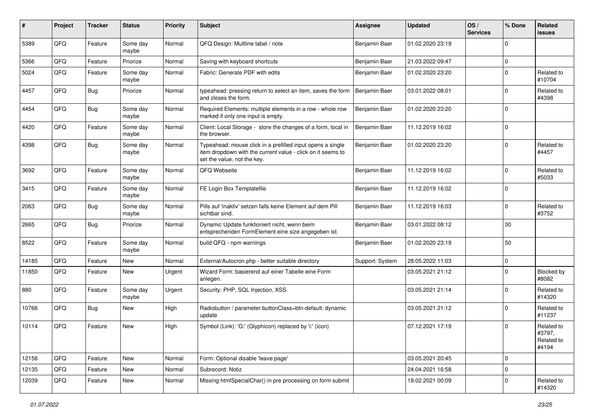| ∦     | Project | <b>Tracker</b> | <b>Status</b>     | <b>Priority</b> | <b>Subject</b>                                                                                                                                           | <b>Assignee</b> | <b>Updated</b>   | OS/<br><b>Services</b> | % Done      | Related<br><b>issues</b>                    |
|-------|---------|----------------|-------------------|-----------------|----------------------------------------------------------------------------------------------------------------------------------------------------------|-----------------|------------------|------------------------|-------------|---------------------------------------------|
| 5389  | QFQ     | Feature        | Some day<br>maybe | Normal          | QFQ Design: Multline label / note                                                                                                                        | Benjamin Baer   | 01.02.2020 23:19 |                        | $\Omega$    |                                             |
| 5366  | QFQ     | Feature        | Priorize          | Normal          | Saving with keyboard shortcuts                                                                                                                           | Benjamin Baer   | 21.03.2022 09:47 |                        | 0           |                                             |
| 5024  | QFQ     | Feature        | Some day<br>maybe | Normal          | Fabric: Generate PDF with edits                                                                                                                          | Benjamin Baer   | 01.02.2020 23:20 |                        | 0           | Related to<br>#10704                        |
| 4457  | QFQ     | Bug            | Priorize          | Normal          | typeahead: pressing return to select an item, saves the form<br>and closes the form.                                                                     | Benjamin Baer   | 03.01.2022 08:01 |                        | $\Omega$    | Related to<br>#4398                         |
| 4454  | QFQ     | <b>Bug</b>     | Some day<br>maybe | Normal          | Required Elements: multiple elements in a row - whole row<br>marked if only one input is empty.                                                          | Benjamin Baer   | 01.02.2020 23:20 |                        | $\Omega$    |                                             |
| 4420  | QFQ     | Feature        | Some day<br>maybe | Normal          | Client: Local Storage - store the changes of a form, local in<br>the browser.                                                                            | Benjamin Baer   | 11.12.2019 16:02 |                        | 0           |                                             |
| 4398  | QFQ     | Bug            | Some day<br>maybe | Normal          | Typeahead: mouse click in a prefilled input opens a single<br>item dropdown with the current value - click on it seems to<br>set the value, not the key. | Benjamin Baer   | 01.02.2020 23:20 |                        | 0           | Related to<br>#4457                         |
| 3692  | QFQ     | Feature        | Some day<br>maybe | Normal          | QFQ Webseite                                                                                                                                             | Benjamin Baer   | 11.12.2019 16:02 |                        | 0           | Related to<br>#5033                         |
| 3415  | QFQ     | Feature        | Some day<br>maybe | Normal          | FE Login Box Templatefile                                                                                                                                | Benjamin Baer   | 11.12.2019 16:02 |                        | $\mathbf 0$ |                                             |
| 2063  | QFQ     | <b>Bug</b>     | Some day<br>maybe | Normal          | Pills auf 'inaktiv' setzen falls keine Element auf dem Pill<br>sichtbar sind.                                                                            | Benjamin Baer   | 11.12.2019 16:03 |                        | 0           | Related to<br>#3752                         |
| 2665  | QFQ     | <b>Bug</b>     | Priorize          | Normal          | Dynamic Update funktioniert nicht, wenn beim<br>entsprechenden FormElement eine size angegeben ist.                                                      | Benjamin Baer   | 03.01.2022 08:12 |                        | 30          |                                             |
| 8522  | QFQ     | Feature        | Some day<br>maybe | Normal          | build QFQ - npm warnings                                                                                                                                 | Benjamin Baer   | 01.02.2020 23:19 |                        | 50          |                                             |
| 14185 | QFQ     | Feature        | New               | Normal          | External/Autocron.php - better suitable directory                                                                                                        | Support: System | 28.05.2022 11:03 |                        | 0           |                                             |
| 11850 | QFQ     | Feature        | <b>New</b>        | Urgent          | Wizard Form: basierend auf einer Tabelle eine Form<br>anlegen.                                                                                           |                 | 03.05.2021 21:12 |                        | 0           | Blocked by<br>#8082                         |
| 880   | QFQ     | Feature        | Some day<br>maybe | Urgent          | Security: PHP, SQL Injection, XSS                                                                                                                        |                 | 03.05.2021 21:14 |                        | 0           | Related to<br>#14320                        |
| 10766 | QFQ     | <b>Bug</b>     | New               | High            | Radiobutton / parameter.buttonClass=btn-default: dynamic<br>update                                                                                       |                 | 03.05.2021 21:12 |                        | $\mathbf 0$ | Related to<br>#11237                        |
| 10114 | QFQ     | Feature        | <b>New</b>        | High            | Symbol (Link): 'G:' (Glyphicon) replaced by 'i:' (icon)                                                                                                  |                 | 07.12.2021 17:19 |                        | 0           | Related to<br>#3797,<br>Related to<br>#4194 |
| 12156 | QFQ     | Feature        | New               | Normal          | Form: Optional disable 'leave page'                                                                                                                      |                 | 03.05.2021 20:45 |                        | 0           |                                             |
| 12135 | QFQ     | Feature        | New               | Normal          | Subrecord: Notiz                                                                                                                                         |                 | 24.04.2021 16:58 |                        | 0           |                                             |
| 12039 | QFQ     | Feature        | New               | Normal          | Missing htmlSpecialChar() in pre processing on form submit                                                                                               |                 | 18.02.2021 00:09 |                        | 0           | Related to<br>#14320                        |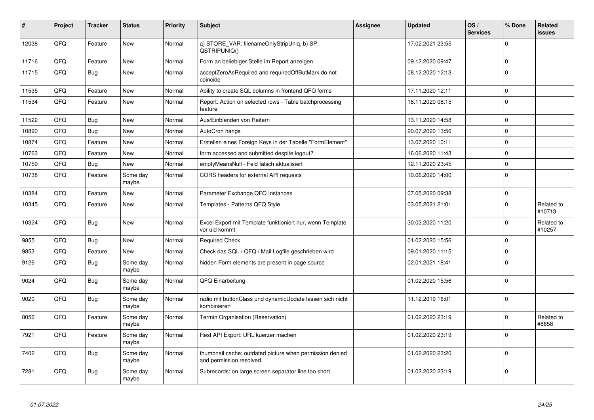| #     | Project | <b>Tracker</b> | <b>Status</b>     | <b>Priority</b> | <b>Subject</b>                                                                       | <b>Assignee</b> | <b>Updated</b>   | OS/<br><b>Services</b> | % Done      | Related<br><b>issues</b> |
|-------|---------|----------------|-------------------|-----------------|--------------------------------------------------------------------------------------|-----------------|------------------|------------------------|-------------|--------------------------|
| 12038 | QFQ     | Feature        | New               | Normal          | a) STORE_VAR: filenameOnlyStripUniq, b) SP:<br>QSTRIPUNIQ()                          |                 | 17.02.2021 23:55 |                        | $\Omega$    |                          |
| 11716 | OFQ     | Feature        | New               | Normal          | Form an beliebiger Stelle im Report anzeigen                                         |                 | 09.12.2020 09:47 |                        | 0           |                          |
| 11715 | QFQ     | Bug            | New               | Normal          | acceptZeroAsRequired and requiredOffButMark do not<br>coincide                       |                 | 08.12.2020 12:13 |                        | $\Omega$    |                          |
| 11535 | QFQ     | Feature        | New               | Normal          | Ability to create SQL columns in frontend QFQ forms                                  |                 | 17.11.2020 12:11 |                        | 0           |                          |
| 11534 | QFQ     | Feature        | <b>New</b>        | Normal          | Report: Action on selected rows - Table batchprocessing<br>feature                   |                 | 18.11.2020 08:15 |                        | $\Omega$    |                          |
| 11522 | QFQ     | <b>Bug</b>     | <b>New</b>        | Normal          | Aus/Einblenden von Reitern                                                           |                 | 13.11.2020 14:58 |                        | 0           |                          |
| 10890 | QFQ     | Bug            | <b>New</b>        | Normal          | AutoCron hangs                                                                       |                 | 20.07.2020 13:56 |                        | $\Omega$    |                          |
| 10874 | QFQ     | Feature        | New               | Normal          | Erstellen eines Foreign Keys in der Tabelle "FormElement"                            |                 | 13.07.2020 10:11 |                        | 0           |                          |
| 10763 | QFQ     | Feature        | <b>New</b>        | Normal          | form accessed and submitted despite logout?                                          |                 | 16.06.2020 11:43 |                        | 0           |                          |
| 10759 | QFQ     | <b>Bug</b>     | New               | Normal          | emptyMeansNull - Feld falsch aktualisiert                                            |                 | 12.11.2020 23:45 |                        | 0           |                          |
| 10738 | QFQ     | Feature        | Some day<br>maybe | Normal          | CORS headers for external API requests                                               |                 | 10.06.2020 14:00 |                        | $\mathbf 0$ |                          |
| 10384 | QFQ     | Feature        | New               | Normal          | Parameter Exchange QFQ Instances                                                     |                 | 07.05.2020 09:38 |                        | 0           |                          |
| 10345 | QFQ     | Feature        | New               | Normal          | Templates - Patterns QFQ Style                                                       |                 | 03.05.2021 21:01 |                        | $\Omega$    | Related to<br>#10713     |
| 10324 | QFQ     | <b>Bug</b>     | New               | Normal          | Excel Export mit Template funktioniert nur, wenn Template<br>vor uid kommt           |                 | 30.03.2020 11:20 |                        | 0           | Related to<br>#10257     |
| 9855  | QFQ     | Bug            | New               | Normal          | <b>Required Check</b>                                                                |                 | 01.02.2020 15:56 |                        | 0           |                          |
| 9853  | QFQ     | Feature        | <b>New</b>        | Normal          | Check das SQL / QFQ / Mail Logfile geschrieben wird                                  |                 | 09.01.2020 11:15 |                        | $\Omega$    |                          |
| 9126  | QFQ     | <b>Bug</b>     | Some day<br>maybe | Normal          | hidden Form elements are present in page source                                      |                 | 02.01.2021 18:41 |                        | $\Omega$    |                          |
| 9024  | QFQ     | <b>Bug</b>     | Some day<br>maybe | Normal          | QFQ Einarbeitung                                                                     |                 | 01.02.2020 15:56 |                        | 0           |                          |
| 9020  | QFQ     | <b>Bug</b>     | Some day<br>maybe | Normal          | radio mit buttonClass und dynamicUpdate lassen sich nicht<br>kombinieren             |                 | 11.12.2019 16:01 |                        | $\Omega$    |                          |
| 8056  | QFQ     | Feature        | Some day<br>maybe | Normal          | Termin Organisation (Reservation)                                                    |                 | 01.02.2020 23:19 |                        | $\Omega$    | Related to<br>#8658      |
| 7921  | QFQ     | Feature        | Some day<br>maybe | Normal          | Rest API Export: URL kuerzer machen                                                  |                 | 01.02.2020 23:19 |                        | $\Omega$    |                          |
| 7402  | QFQ     | Bug            | Some day<br>maybe | Normal          | thumbnail cache: outdated picture when permission denied<br>and permission resolved. |                 | 01.02.2020 23:20 |                        | 0           |                          |
| 7281  | QFQ     | <b>Bug</b>     | Some day<br>maybe | Normal          | Subrecords: on large screen separator line too short                                 |                 | 01.02.2020 23:19 |                        | $\Omega$    |                          |